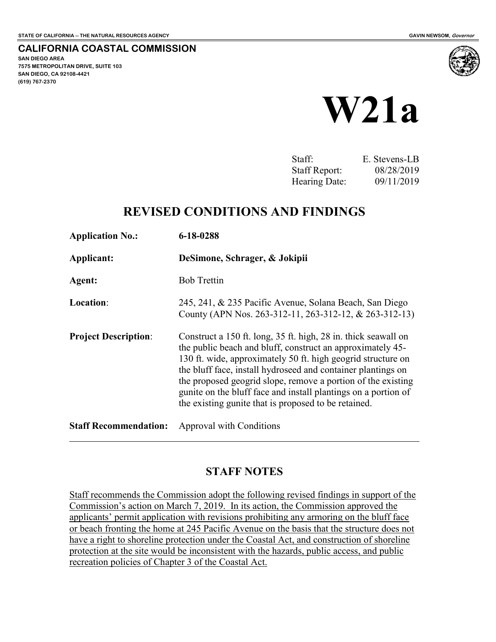**CALIFORNIA COASTAL COMMISSION SAN DIEGO AREA 7575 METROPOLITAN DRIVE, SUITE 103 SAN DIEGO, CA 92108-4421 (619) 767-2370**



Staff: E. Stevens-LB Staff Report: 08/28/2019 Hearing Date: 09/11/2019

# **REVISED CONDITIONS AND FINDINGS**

| <b>Application No.:</b>      | 6-18-0288<br>DeSimone, Schrager, & Jokipii                                                                                                                                                                                                                                                                                                                                                                                                             |  |
|------------------------------|--------------------------------------------------------------------------------------------------------------------------------------------------------------------------------------------------------------------------------------------------------------------------------------------------------------------------------------------------------------------------------------------------------------------------------------------------------|--|
| Applicant:                   |                                                                                                                                                                                                                                                                                                                                                                                                                                                        |  |
| Agent:                       | <b>Bob Trettin</b>                                                                                                                                                                                                                                                                                                                                                                                                                                     |  |
| Location:                    | 245, 241, & 235 Pacific Avenue, Solana Beach, San Diego<br>County (APN Nos. 263-312-11, 263-312-12, & 263-312-13)                                                                                                                                                                                                                                                                                                                                      |  |
| <b>Project Description:</b>  | Construct a 150 ft. long, 35 ft. high, 28 in. thick seawall on<br>the public beach and bluff, construct an approximately 45-<br>130 ft. wide, approximately 50 ft. high geogrid structure on<br>the bluff face, install hydroseed and container plantings on<br>the proposed geogrid slope, remove a portion of the existing<br>gunite on the bluff face and install plantings on a portion of<br>the existing gunite that is proposed to be retained. |  |
| <b>Staff Recommendation:</b> | Approval with Conditions                                                                                                                                                                                                                                                                                                                                                                                                                               |  |

# **STAFF NOTES**

Staff recommends the Commission adopt the following revised findings in support of the Commission's action on March 7, 2019. In its action, the Commission approved the applicants' permit application with revisions prohibiting any armoring on the bluff face or beach fronting the home at 245 Pacific Avenue on the basis that the structure does not have a right to shoreline protection under the Coastal Act, and construction of shoreline protection at the site would be inconsistent with the hazards, public access, and public recreation policies of Chapter 3 of the Coastal Act.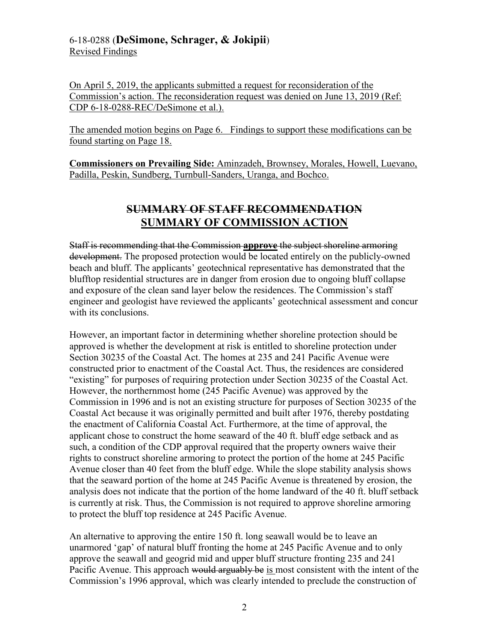# 6-18-0288 (**DeSimone, Schrager, & Jokipii**) Revised Findings

On April 5, 2019, the applicants submitted a request for reconsideration of the Commission's action. The reconsideration request was denied on June 13, 2019 (Ref: CDP 6-18-0288-REC/DeSimone et al.).

The amended motion begins on Page 6. Findings to support these modifications can be found starting on Page 18.

**Commissioners on Prevailing Side:** Aminzadeh, Brownsey, Morales, Howell, Luevano, Padilla, Peskin, Sundberg, Turnbull-Sanders, Uranga, and Bochco.

# **SUMMARY OF STAFF RECOMMENDATION SUMMARY OF COMMISSION ACTION**

Staff is recommending that the Commission **approve** the subject shoreline armoring development. The proposed protection would be located entirely on the publicly-owned beach and bluff. The applicants' geotechnical representative has demonstrated that the blufftop residential structures are in danger from erosion due to ongoing bluff collapse and exposure of the clean sand layer below the residences. The Commission's staff engineer and geologist have reviewed the applicants' geotechnical assessment and concur with its conclusions.

However, an important factor in determining whether shoreline protection should be approved is whether the development at risk is entitled to shoreline protection under Section 30235 of the Coastal Act. The homes at 235 and 241 Pacific Avenue were constructed prior to enactment of the Coastal Act. Thus, the residences are considered "existing" for purposes of requiring protection under Section 30235 of the Coastal Act. However, the northernmost home (245 Pacific Avenue) was approved by the Commission in 1996 and is not an existing structure for purposes of Section 30235 of the Coastal Act because it was originally permitted and built after 1976, thereby postdating the enactment of California Coastal Act. Furthermore, at the time of approval, the applicant chose to construct the home seaward of the 40 ft. bluff edge setback and as such, a condition of the CDP approval required that the property owners waive their rights to construct shoreline armoring to protect the portion of the home at 245 Pacific Avenue closer than 40 feet from the bluff edge. While the slope stability analysis shows that the seaward portion of the home at 245 Pacific Avenue is threatened by erosion, the analysis does not indicate that the portion of the home landward of the 40 ft. bluff setback is currently at risk. Thus, the Commission is not required to approve shoreline armoring to protect the bluff top residence at 245 Pacific Avenue.

An alternative to approving the entire 150 ft. long seawall would be to leave an unarmored 'gap' of natural bluff fronting the home at 245 Pacific Avenue and to only approve the seawall and geogrid mid and upper bluff structure fronting 235 and 241 Pacific Avenue. This approach would arguably be is most consistent with the intent of the Commission's 1996 approval, which was clearly intended to preclude the construction of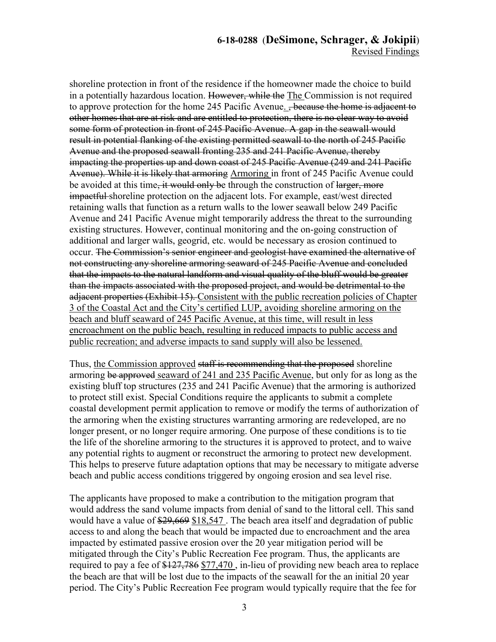# **6-18-0288** (**DeSimone, Schrager, & Jokipii**) Revised Findings

shoreline protection in front of the residence if the homeowner made the choice to build in a potentially hazardous location. However, while the The Commission is not required to approve protection for the home 245 Pacific Avenue. <del>, because the home is adjacent to</del> other homes that are at risk and are entitled to protection, there is no clear way to avoid some form of protection in front of 245 Pacific Avenue. A gap in the seawall would result in potential flanking of the existing permitted seawall to the north of 245 Pacific Avenue and the proposed seawall fronting 235 and 241 Pacific Avenue, thereby impacting the properties up and down coast of 245 Pacific Avenue (249 and 241 Pacific Avenue). While it is likely that armoring Armoring in front of 245 Pacific Avenue could be avoided at this time, it would only be through the construction of larger, more impactful shoreline protection on the adjacent lots. For example, east/west directed retaining walls that function as a return walls to the lower seawall below 249 Pacific Avenue and 241 Pacific Avenue might temporarily address the threat to the surrounding existing structures. However, continual monitoring and the on-going construction of additional and larger walls, geogrid, etc. would be necessary as erosion continued to occur. The Commission's senior engineer and geologist have examined the alternative of not constructing any shoreline armoring seaward of 245 Pacific Avenue and concluded that the impacts to the natural landform and visual quality of the bluff would be greater than the impacts associated with the proposed project, and would be detrimental to the adjacent properties (Exhibit 15). Consistent with the public recreation policies of Chapter 3 of the Coastal Act and the City's certified LUP, avoiding shoreline armoring on the beach and bluff seaward of 245 Pacific Avenue, at this time, will result in less encroachment on the public beach, resulting in reduced impacts to public access and public recreation; and adverse impacts to sand supply will also be lessened.

Thus, the Commission approved staff is recommending that the proposed shoreline armoring be approved seaward of 241 and 235 Pacific Avenue, but only for as long as the existing bluff top structures (235 and 241 Pacific Avenue) that the armoring is authorized to protect still exist. Special Conditions require the applicants to submit a complete coastal development permit application to remove or modify the terms of authorization of the armoring when the existing structures warranting armoring are redeveloped, are no longer present, or no longer require armoring. One purpose of these conditions is to tie the life of the shoreline armoring to the structures it is approved to protect, and to waive any potential rights to augment or reconstruct the armoring to protect new development. This helps to preserve future adaptation options that may be necessary to mitigate adverse beach and public access conditions triggered by ongoing erosion and sea level rise.

The applicants have proposed to make a contribution to the mitigation program that would address the sand volume impacts from denial of sand to the littoral cell. This sand would have a value of  $\frac{29,669}{18,547}$ . The beach area itself and degradation of public access to and along the beach that would be impacted due to encroachment and the area impacted by estimated passive erosion over the 20 year mitigation period will be mitigated through the City's Public Recreation Fee program. Thus, the applicants are required to pay a fee of \$127,786 \$77,470, in-lieu of providing new beach area to replace the beach are that will be lost due to the impacts of the seawall for the an initial 20 year period. The City's Public Recreation Fee program would typically require that the fee for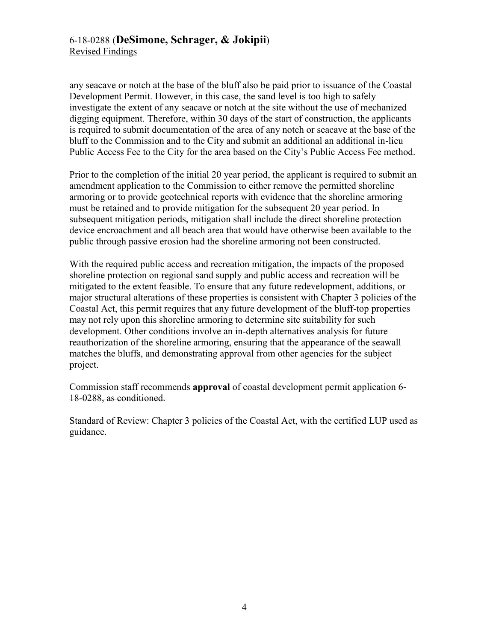any seacave or notch at the base of the bluff also be paid prior to issuance of the Coastal Development Permit. However, in this case, the sand level is too high to safely investigate the extent of any seacave or notch at the site without the use of mechanized digging equipment. Therefore, within 30 days of the start of construction, the applicants is required to submit documentation of the area of any notch or seacave at the base of the bluff to the Commission and to the City and submit an additional an additional in-lieu Public Access Fee to the City for the area based on the City's Public Access Fee method.

Prior to the completion of the initial 20 year period, the applicant is required to submit an amendment application to the Commission to either remove the permitted shoreline armoring or to provide geotechnical reports with evidence that the shoreline armoring must be retained and to provide mitigation for the subsequent 20 year period. In subsequent mitigation periods, mitigation shall include the direct shoreline protection device encroachment and all beach area that would have otherwise been available to the public through passive erosion had the shoreline armoring not been constructed.

With the required public access and recreation mitigation, the impacts of the proposed shoreline protection on regional sand supply and public access and recreation will be mitigated to the extent feasible. To ensure that any future redevelopment, additions, or major structural alterations of these properties is consistent with Chapter 3 policies of the Coastal Act, this permit requires that any future development of the bluff-top properties may not rely upon this shoreline armoring to determine site suitability for such development. Other conditions involve an in-depth alternatives analysis for future reauthorization of the shoreline armoring, ensuring that the appearance of the seawall matches the bluffs, and demonstrating approval from other agencies for the subject project.

Commission staff recommends **approval** of coastal development permit application 6- 18-0288, as conditioned.

Standard of Review: Chapter 3 policies of the Coastal Act, with the certified LUP used as guidance.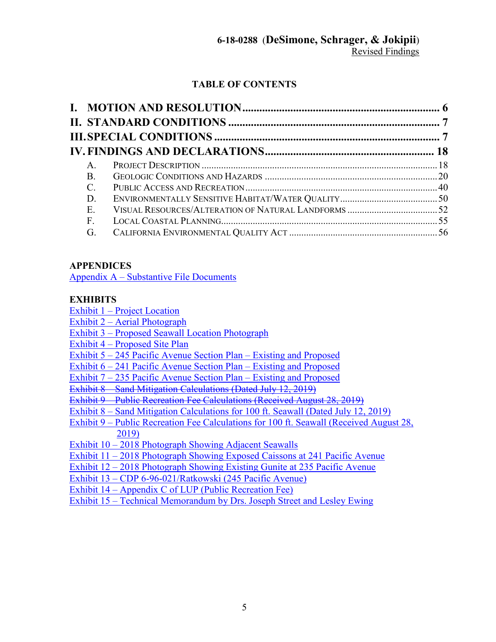# **TABLE OF CONTENTS**

| $A_{\cdot}$    |  |
|----------------|--|
| <b>B.</b>      |  |
| $C_{\cdot}$    |  |
| D.             |  |
| Ε.             |  |
| $\mathbf{F}$ . |  |
| G.             |  |

# **APPENDICES**

[Appendix A – Substantive File Documents](#page-56-0)

# **EXHIBITS**

[Exhibit 1 – Project Location](https://documents.coastal.ca.gov/reports/2019/9/w21a/w21a-9-2019-exhibits.pdf) 

- [Exhibit 2 Aerial Photograph](https://documents.coastal.ca.gov/reports/2019/9/w21a/w21a-9-2019-exhibits.pdf)
- [Exhibit 3 Proposed Seawall Location Photograph](https://documents.coastal.ca.gov/reports/2019/9/w21a/w21a-9-2019-exhibits.pdf)

[Exhibit 4 – Proposed Site Plan](https://documents.coastal.ca.gov/reports/2019/9/w21a/w21a-9-2019-exhibits.pdf) 

- [Exhibit 5 245 Pacific Avenue Section Plan Existing and Proposed](https://documents.coastal.ca.gov/reports/2019/9/w21a/w21a-9-2019-exhibits.pdf)
- [Exhibit 6 241 Pacific Avenue Section Plan Existing and Proposed](https://documents.coastal.ca.gov/reports/2019/9/w21a/w21a-9-2019-exhibits.pdf)
- [Exhibit 7 235 Pacific Avenue Section Plan Existing and Proposed](https://documents.coastal.ca.gov/reports/2019/9/w21a/w21a-9-2019-exhibits.pdf)

Exhibit 8 Sand Mitigation Calculations (Dated July 12, 2019)

[Exhibit 9 – Public Recreation Fee Calculations \(Received August 28, 2019\)](https://documents.coastal.ca.gov/reports/2019/9/w21a/w21a-9-2019-exhibits.pdf) 

[Exhibit 8 – Sand Mitigation Calculations for 100 ft. Seawall \(Dated July 12, 2019\)](https://documents.coastal.ca.gov/reports/2019/9/w21a/w21a-9-2019-exhibits.pdf) 

[Exhibit 9 – Public Recreation Fee Calculations for 100 ft. Seawall \(Received August 28,](https://documents.coastal.ca.gov/reports/2019/9/w21a/w21a-9-2019-exhibits.pdf)  [2019\)](https://documents.coastal.ca.gov/reports/2019/9/w21a/w21a-9-2019-exhibits.pdf) 

[Exhibit 10 – 2018 Photograph Showing Adjacent Seawalls](https://documents.coastal.ca.gov/reports/2019/9/w21a/w21a-9-2019-exhibits.pdf) 

[Exhibit 11 – 2018 Photograph Showing Exposed Caissons at 241 Pacific Avenue](https://documents.coastal.ca.gov/reports/2019/9/w21a/w21a-9-2019-exhibits.pdf) 

[Exhibit 12 – 2018 Photograph Showing Existing Gunite at 235 Pacific Avenue](https://documents.coastal.ca.gov/reports/2019/9/w21a/w21a-9-2019-exhibits.pdf) 

[Exhibit 13 – CDP 6-96-021/Ratkowski \(245 Pacific Avenue\)](https://documents.coastal.ca.gov/reports/2019/9/w21a/w21a-9-2019-exhibits.pdf) 

[Exhibit 14 – Appendix C of LUP \(Public Recreation Fee\)](https://documents.coastal.ca.gov/reports/2019/9/w21a/w21a-9-2019-exhibits.pdf) 

[Exhibit 15 – Technical Memorandum by Drs. Joseph Street and Lesley Ewing](https://documents.coastal.ca.gov/reports/2019/9/w21a/w21a-9-2019-exhibits.pdf)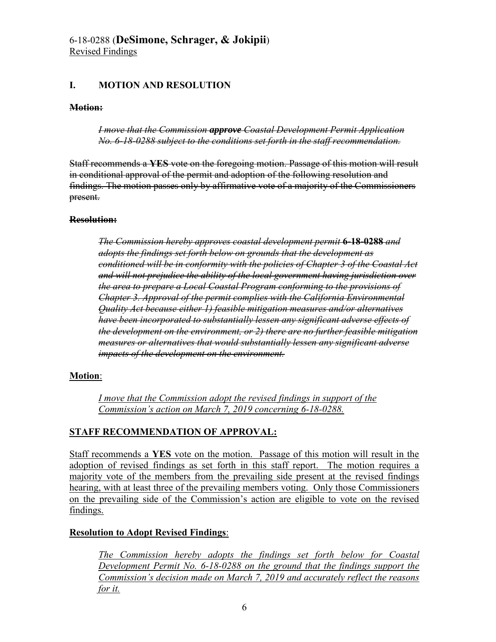# <span id="page-5-0"></span>**I. MOTION AND RESOLUTION**

## **Motion:**

*I move that the Commission approve Coastal Development Permit Application No. 6-18-0288 subject to the conditions set forth in the staff recommendation.* 

Staff recommends a **YES** vote on the foregoing motion. Passage of this motion will result in conditional approval of the permit and adoption of the following resolution and findings. The motion passes only by affirmative vote of a majority of the Commissioners present.

## **Resolution:**

*The Commission hereby approves coastal development permit* **6-18-0288** *and adopts the findings set forth below on grounds that the development as conditioned will be in conformity with the policies of Chapter 3 of the Coastal Act and will not prejudice the ability of the local government having jurisdiction over the area to prepare a Local Coastal Program conforming to the provisions of Chapter 3. Approval of the permit complies with the California Environmental Quality Act because either 1) feasible mitigation measures and/or alternatives have been incorporated to substantially lessen any significant adverse effects of the development on the environment, or 2) there are no further feasible mitigation measures or alternatives that would substantially lessen any significant adverse impacts of the development on the environment.* 

## **Motion**:

*I move that the Commission adopt the revised findings in support of the Commission's action on March 7, 2019 concerning 6-18-0288.* 

# **STAFF RECOMMENDATION OF APPROVAL:**

Staff recommends a **YES** vote on the motion. Passage of this motion will result in the adoption of revised findings as set forth in this staff report. The motion requires a majority vote of the members from the prevailing side present at the revised findings hearing, with at least three of the prevailing members voting. Only those Commissioners on the prevailing side of the Commission's action are eligible to vote on the revised findings.

# **Resolution to Adopt Revised Findings**:

*The Commission hereby adopts the findings set forth below for Coastal Development Permit No. 6-18-0288 on the ground that the findings support the Commission's decision made on March 7, 2019 and accurately reflect the reasons for it.*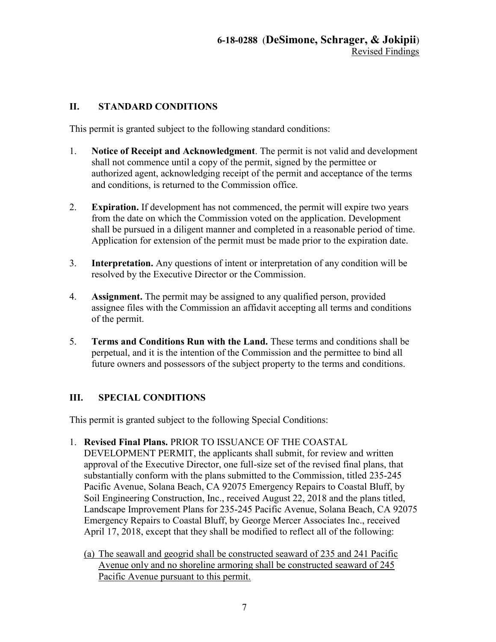# <span id="page-6-0"></span>**II. STANDARD CONDITIONS**

This permit is granted subject to the following standard conditions:

- 1. **Notice of Receipt and Acknowledgment**. The permit is not valid and development shall not commence until a copy of the permit, signed by the permittee or authorized agent, acknowledging receipt of the permit and acceptance of the terms and conditions, is returned to the Commission office.
- 2. **Expiration.** If development has not commenced, the permit will expire two years from the date on which the Commission voted on the application. Development shall be pursued in a diligent manner and completed in a reasonable period of time. Application for extension of the permit must be made prior to the expiration date.
- 3. **Interpretation.** Any questions of intent or interpretation of any condition will be resolved by the Executive Director or the Commission.
- 4. **Assignment.** The permit may be assigned to any qualified person, provided assignee files with the Commission an affidavit accepting all terms and conditions of the permit.
- 5. **Terms and Conditions Run with the Land.** These terms and conditions shall be perpetual, and it is the intention of the Commission and the permittee to bind all future owners and possessors of the subject property to the terms and conditions.

# <span id="page-6-1"></span>**III. SPECIAL CONDITIONS**

This permit is granted subject to the following Special Conditions:

- 1. **Revised Final Plans.** PRIOR TO ISSUANCE OF THE COASTAL DEVELOPMENT PERMIT, the applicants shall submit, for review and written approval of the Executive Director, one full-size set of the revised final plans, that substantially conform with the plans submitted to the Commission, titled 235-245 Pacific Avenue, Solana Beach, CA 92075 Emergency Repairs to Coastal Bluff, by Soil Engineering Construction, Inc., received August 22, 2018 and the plans titled, Landscape Improvement Plans for 235-245 Pacific Avenue, Solana Beach, CA 92075 Emergency Repairs to Coastal Bluff, by George Mercer Associates Inc., received April 17, 2018, except that they shall be modified to reflect all of the following:
	- (a) The seawall and geogrid shall be constructed seaward of 235 and 241 Pacific Avenue only and no shoreline armoring shall be constructed seaward of 245 Pacific Avenue pursuant to this permit.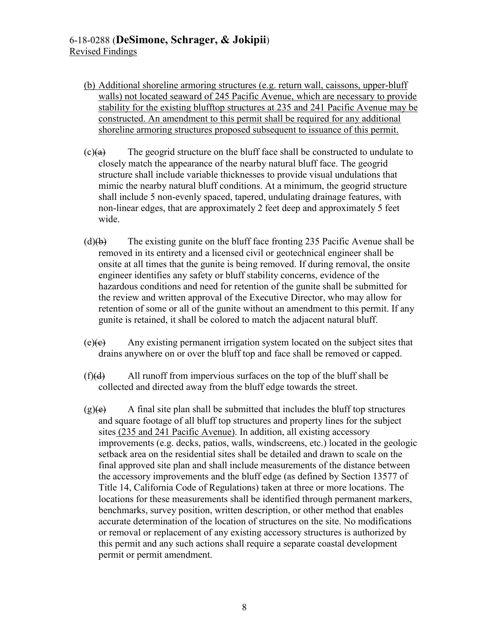# 6-18-0288 (**DeSimone, Schrager, & Jokipii**) Revised Findings

- (b) Additional shoreline armoring structures (e.g. return wall, caissons, upper-bluff walls) not located seaward of 245 Pacific Avenue, which are necessary to provide stability for the existing blufftop structures at 235 and 241 Pacific Avenue may be constructed. An amendment to this permit shall be required for any additional shoreline armoring structures proposed subsequent to issuance of this permit.
- $(c)$  The geogrid structure on the bluff face shall be constructed to undulate to closely match the appearance of the nearby natural bluff face. The geogrid structure shall include variable thicknesses to provide visual undulations that mimic the nearby natural bluff conditions. At a minimum, the geogrid structure shall include 5 non-evenly spaced, tapered, undulating drainage features, with non-linear edges, that are approximately 2 feet deep and approximately 5 feet wide.
- $(d)(b)$  The existing gunite on the bluff face fronting 235 Pacific Avenue shall be removed in its entirety and a licensed civil or geotechnical engineer shall be onsite at all times that the gunite is being removed. If during removal, the onsite engineer identifies any safety or bluff stability concerns, evidence of the hazardous conditions and need for retention of the gunite shall be submitted for the review and written approval of the Executive Director, who may allow for retention of some or all of the gunite without an amendment to this permit. If any gunite is retained, it shall be colored to match the adjacent natural bluff.
- $(e)(e)$  Any existing permanent irrigation system located on the subject sites that drains anywhere on or over the bluff top and face shall be removed or capped.
- $(f)(d)$  All runoff from impervious surfaces on the top of the bluff shall be collected and directed away from the bluff edge towards the street.
- $(g)(e)$  A final site plan shall be submitted that includes the bluff top structures and square footage of all bluff top structures and property lines for the subject sites (235 and 241 Pacific Avenue). In addition, all existing accessory improvements (e.g. decks, patios, walls, windscreens, etc.) located in the geologic setback area on the residential sites shall be detailed and drawn to scale on the final approved site plan and shall include measurements of the distance between the accessory improvements and the bluff edge (as defined by Section 13577 of Title 14, California Code of Regulations) taken at three or more locations. The locations for these measurements shall be identified through permanent markers, benchmarks, survey position, written description, or other method that enables accurate determination of the location of structures on the site. No modifications or removal or replacement of any existing accessory structures is authorized by this permit and any such actions shall require a separate coastal development permit or permit amendment.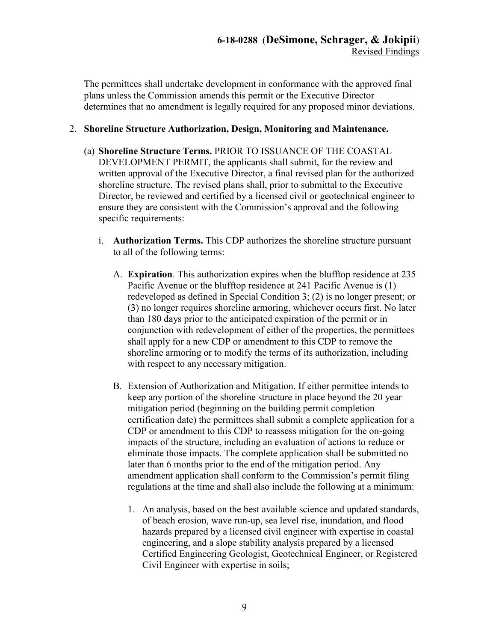The permittees shall undertake development in conformance with the approved final plans unless the Commission amends this permit or the Executive Director determines that no amendment is legally required for any proposed minor deviations.

# 2. **Shoreline Structure Authorization, Design, Monitoring and Maintenance.**

- (a) **Shoreline Structure Terms.** PRIOR TO ISSUANCE OF THE COASTAL DEVELOPMENT PERMIT, the applicants shall submit, for the review and written approval of the Executive Director, a final revised plan for the authorized shoreline structure. The revised plans shall, prior to submittal to the Executive Director, be reviewed and certified by a licensed civil or geotechnical engineer to ensure they are consistent with the Commission's approval and the following specific requirements:
	- i. **Authorization Terms.** This CDP authorizes the shoreline structure pursuant to all of the following terms:
		- A. **Expiration**. This authorization expires when the blufftop residence at 235 Pacific Avenue or the blufftop residence at 241 Pacific Avenue is (1) redeveloped as defined in Special Condition 3; (2) is no longer present; or (3) no longer requires shoreline armoring, whichever occurs first. No later than 180 days prior to the anticipated expiration of the permit or in conjunction with redevelopment of either of the properties, the permittees shall apply for a new CDP or amendment to this CDP to remove the shoreline armoring or to modify the terms of its authorization, including with respect to any necessary mitigation.
		- B. Extension of Authorization and Mitigation. If either permittee intends to keep any portion of the shoreline structure in place beyond the 20 year mitigation period (beginning on the building permit completion certification date) the permittees shall submit a complete application for a CDP or amendment to this CDP to reassess mitigation for the on-going impacts of the structure, including an evaluation of actions to reduce or eliminate those impacts. The complete application shall be submitted no later than 6 months prior to the end of the mitigation period. Any amendment application shall conform to the Commission's permit filing regulations at the time and shall also include the following at a minimum:
			- 1. An analysis, based on the best available science and updated standards, of beach erosion, wave run-up, sea level rise, inundation, and flood hazards prepared by a licensed civil engineer with expertise in coastal engineering, and a slope stability analysis prepared by a licensed Certified Engineering Geologist, Geotechnical Engineer, or Registered Civil Engineer with expertise in soils;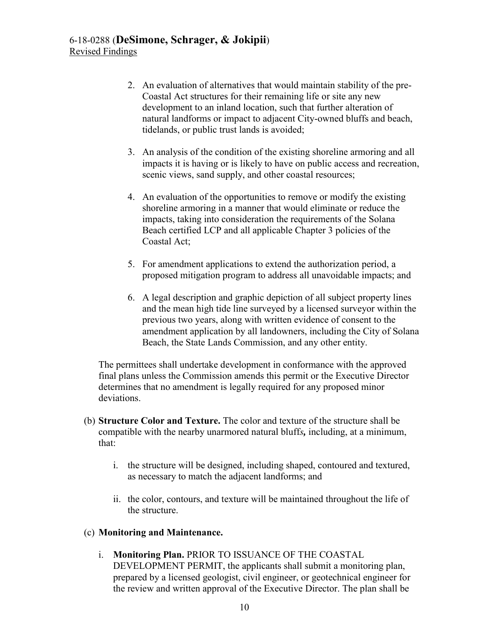- 2. An evaluation of alternatives that would maintain stability of the pre-Coastal Act structures for their remaining life or site any new development to an inland location, such that further alteration of natural landforms or impact to adjacent City-owned bluffs and beach, tidelands, or public trust lands is avoided;
- 3. An analysis of the condition of the existing shoreline armoring and all impacts it is having or is likely to have on public access and recreation, scenic views, sand supply, and other coastal resources;
- 4. An evaluation of the opportunities to remove or modify the existing shoreline armoring in a manner that would eliminate or reduce the impacts, taking into consideration the requirements of the Solana Beach certified LCP and all applicable Chapter 3 policies of the Coastal Act;
- 5. For amendment applications to extend the authorization period, a proposed mitigation program to address all unavoidable impacts; and
- 6. A legal description and graphic depiction of all subject property lines and the mean high tide line surveyed by a licensed surveyor within the previous two years, along with written evidence of consent to the amendment application by all landowners, including the City of Solana Beach, the State Lands Commission, and any other entity.

The permittees shall undertake development in conformance with the approved final plans unless the Commission amends this permit or the Executive Director determines that no amendment is legally required for any proposed minor deviations.

- (b) **Structure Color and Texture.** The color and texture of the structure shall be compatible with the nearby unarmored natural bluff*s,* including, at a minimum, that:
	- i. the structure will be designed, including shaped, contoured and textured, as necessary to match the adjacent landforms; and
	- ii. the color, contours, and texture will be maintained throughout the life of the structure.

# (c) **Monitoring and Maintenance.**

i. **Monitoring Plan.** PRIOR TO ISSUANCE OF THE COASTAL DEVELOPMENT PERMIT, the applicants shall submit a monitoring plan, prepared by a licensed geologist, civil engineer, or geotechnical engineer for the review and written approval of the Executive Director. The plan shall be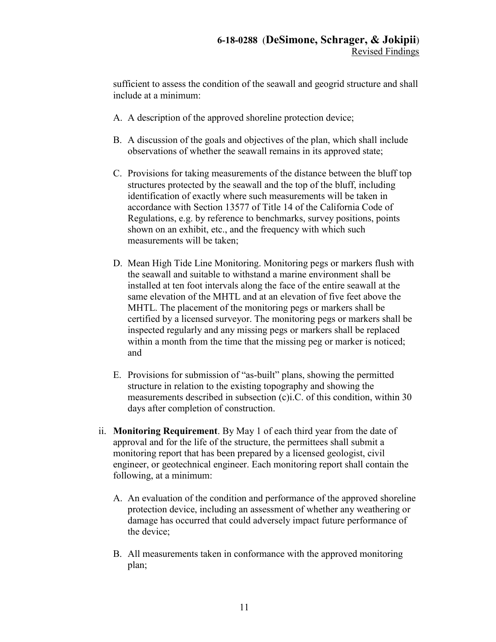sufficient to assess the condition of the seawall and geogrid structure and shall include at a minimum:

- A. A description of the approved shoreline protection device;
- B. A discussion of the goals and objectives of the plan, which shall include observations of whether the seawall remains in its approved state;
- C. Provisions for taking measurements of the distance between the bluff top structures protected by the seawall and the top of the bluff, including identification of exactly where such measurements will be taken in accordance with Section 13577 of Title 14 of the California Code of Regulations, e.g. by reference to benchmarks, survey positions, points shown on an exhibit, etc., and the frequency with which such measurements will be taken;
- D. Mean High Tide Line Monitoring. Monitoring pegs or markers flush with the seawall and suitable to withstand a marine environment shall be installed at ten foot intervals along the face of the entire seawall at the same elevation of the MHTL and at an elevation of five feet above the MHTL. The placement of the monitoring pegs or markers shall be certified by a licensed surveyor. The monitoring pegs or markers shall be inspected regularly and any missing pegs or markers shall be replaced within a month from the time that the missing peg or marker is noticed; and
- E. Provisions for submission of "as-built" plans, showing the permitted structure in relation to the existing topography and showing the measurements described in subsection (c)i.C. of this condition, within 30 days after completion of construction.
- ii. **Monitoring Requirement**. By May 1 of each third year from the date of approval and for the life of the structure, the permittees shall submit a monitoring report that has been prepared by a licensed geologist, civil engineer, or geotechnical engineer. Each monitoring report shall contain the following, at a minimum:
	- A. An evaluation of the condition and performance of the approved shoreline protection device, including an assessment of whether any weathering or damage has occurred that could adversely impact future performance of the device;
	- B. All measurements taken in conformance with the approved monitoring plan;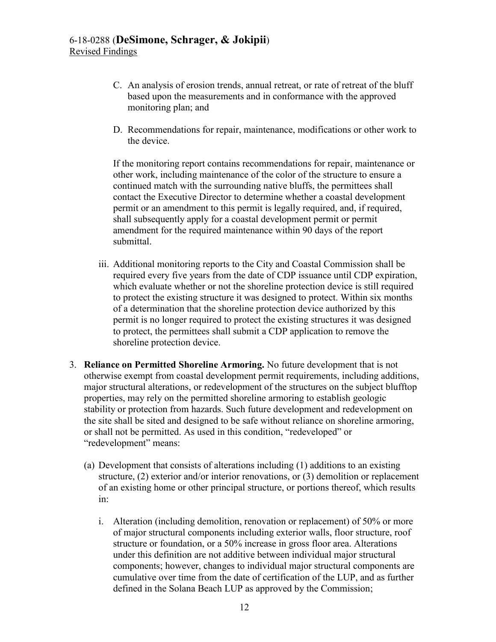- C. An analysis of erosion trends, annual retreat, or rate of retreat of the bluff based upon the measurements and in conformance with the approved monitoring plan; and
- D. Recommendations for repair, maintenance, modifications or other work to the device.

If the monitoring report contains recommendations for repair, maintenance or other work, including maintenance of the color of the structure to ensure a continued match with the surrounding native bluffs, the permittees shall contact the Executive Director to determine whether a coastal development permit or an amendment to this permit is legally required, and, if required, shall subsequently apply for a coastal development permit or permit amendment for the required maintenance within 90 days of the report submittal.

- iii. Additional monitoring reports to the City and Coastal Commission shall be required every five years from the date of CDP issuance until CDP expiration, which evaluate whether or not the shoreline protection device is still required to protect the existing structure it was designed to protect. Within six months of a determination that the shoreline protection device authorized by this permit is no longer required to protect the existing structures it was designed to protect, the permittees shall submit a CDP application to remove the shoreline protection device.
- 3. **Reliance on Permitted Shoreline Armoring.** No future development that is not otherwise exempt from coastal development permit requirements, including additions, major structural alterations, or redevelopment of the structures on the subject blufftop properties, may rely on the permitted shoreline armoring to establish geologic stability or protection from hazards. Such future development and redevelopment on the site shall be sited and designed to be safe without reliance on shoreline armoring, or shall not be permitted. As used in this condition, "redeveloped" or "redevelopment" means:
	- (a) Development that consists of alterations including (1) additions to an existing structure, (2) exterior and/or interior renovations, or (3) demolition or replacement of an existing home or other principal structure, or portions thereof, which results in:
		- i. Alteration (including demolition, renovation or replacement) of 50% or more of major structural components including exterior walls, floor structure, roof structure or foundation, or a 50% increase in gross floor area. Alterations under this definition are not additive between individual major structural components; however, changes to individual major structural components are cumulative over time from the date of certification of the LUP, and as further defined in the Solana Beach LUP as approved by the Commission;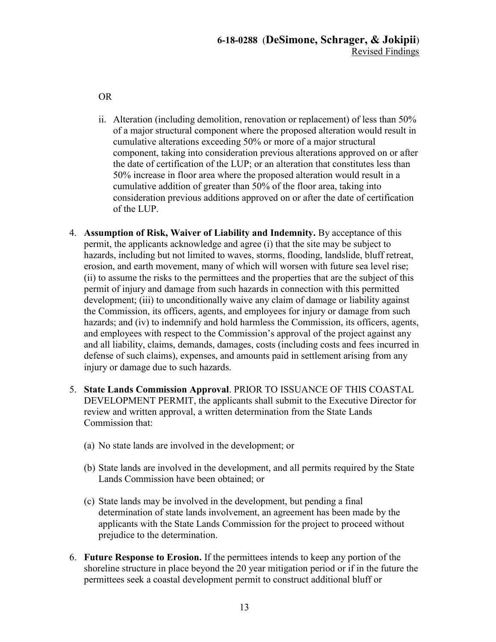OR

- ii. Alteration (including demolition, renovation or replacement) of less than 50% of a major structural component where the proposed alteration would result in cumulative alterations exceeding 50% or more of a major structural component, taking into consideration previous alterations approved on or after the date of certification of the LUP; or an alteration that constitutes less than 50% increase in floor area where the proposed alteration would result in a cumulative addition of greater than 50% of the floor area, taking into consideration previous additions approved on or after the date of certification of the LUP.
- 4. **Assumption of Risk, Waiver of Liability and Indemnity.** By acceptance of this permit, the applicants acknowledge and agree (i) that the site may be subject to hazards, including but not limited to waves, storms, flooding, landslide, bluff retreat, erosion, and earth movement, many of which will worsen with future sea level rise; (ii) to assume the risks to the permittees and the properties that are the subject of this permit of injury and damage from such hazards in connection with this permitted development; (iii) to unconditionally waive any claim of damage or liability against the Commission, its officers, agents, and employees for injury or damage from such hazards; and (iv) to indemnify and hold harmless the Commission, its officers, agents, and employees with respect to the Commission's approval of the project against any and all liability, claims, demands, damages, costs (including costs and fees incurred in defense of such claims), expenses, and amounts paid in settlement arising from any injury or damage due to such hazards.
- 5. **State Lands Commission Approval**. PRIOR TO ISSUANCE OF THIS COASTAL DEVELOPMENT PERMIT, the applicants shall submit to the Executive Director for review and written approval, a written determination from the State Lands Commission that:
	- (a) No state lands are involved in the development; or
	- (b) State lands are involved in the development, and all permits required by the State Lands Commission have been obtained; or
	- (c) State lands may be involved in the development, but pending a final determination of state lands involvement, an agreement has been made by the applicants with the State Lands Commission for the project to proceed without prejudice to the determination.
- 6. **Future Response to Erosion.** If the permittees intends to keep any portion of the shoreline structure in place beyond the 20 year mitigation period or if in the future the permittees seek a coastal development permit to construct additional bluff or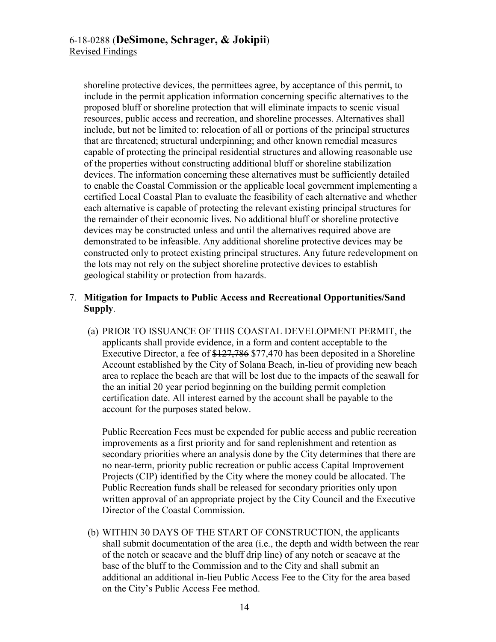shoreline protective devices, the permittees agree, by acceptance of this permit, to include in the permit application information concerning specific alternatives to the proposed bluff or shoreline protection that will eliminate impacts to scenic visual resources, public access and recreation, and shoreline processes. Alternatives shall include, but not be limited to: relocation of all or portions of the principal structures that are threatened; structural underpinning; and other known remedial measures capable of protecting the principal residential structures and allowing reasonable use of the properties without constructing additional bluff or shoreline stabilization devices. The information concerning these alternatives must be sufficiently detailed to enable the Coastal Commission or the applicable local government implementing a certified Local Coastal Plan to evaluate the feasibility of each alternative and whether each alternative is capable of protecting the relevant existing principal structures for the remainder of their economic lives. No additional bluff or shoreline protective devices may be constructed unless and until the alternatives required above are demonstrated to be infeasible. Any additional shoreline protective devices may be constructed only to protect existing principal structures. Any future redevelopment on the lots may not rely on the subject shoreline protective devices to establish geological stability or protection from hazards.

# 7. **Mitigation for Impacts to Public Access and Recreational Opportunities/Sand Supply**.

(a) PRIOR TO ISSUANCE OF THIS COASTAL DEVELOPMENT PERMIT, the applicants shall provide evidence, in a form and content acceptable to the Executive Director, a fee of \$127,786 \$77,470 has been deposited in a Shoreline Account established by the City of Solana Beach, in-lieu of providing new beach area to replace the beach are that will be lost due to the impacts of the seawall for the an initial 20 year period beginning on the building permit completion certification date. All interest earned by the account shall be payable to the account for the purposes stated below.

Public Recreation Fees must be expended for public access and public recreation improvements as a first priority and for sand replenishment and retention as secondary priorities where an analysis done by the City determines that there are no near-term, priority public recreation or public access Capital Improvement Projects (CIP) identified by the City where the money could be allocated. The Public Recreation funds shall be released for secondary priorities only upon written approval of an appropriate project by the City Council and the Executive Director of the Coastal Commission.

(b) WITHIN 30 DAYS OF THE START OF CONSTRUCTION, the applicants shall submit documentation of the area (i.e., the depth and width between the rear of the notch or seacave and the bluff drip line) of any notch or seacave at the base of the bluff to the Commission and to the City and shall submit an additional an additional in-lieu Public Access Fee to the City for the area based on the City's Public Access Fee method.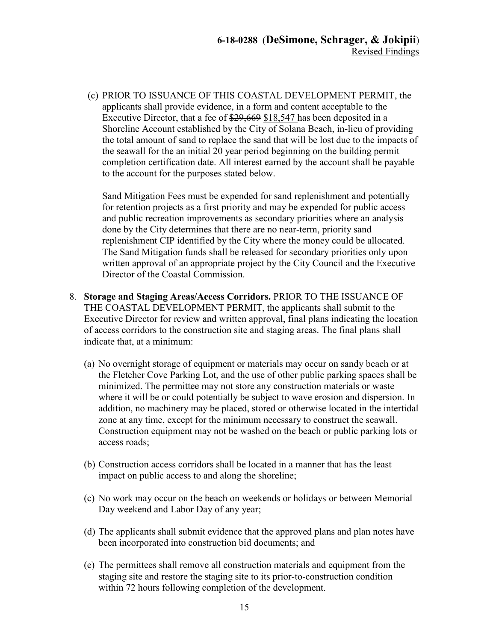(c) PRIOR TO ISSUANCE OF THIS COASTAL DEVELOPMENT PERMIT, the applicants shall provide evidence, in a form and content acceptable to the Executive Director, that a fee of \$29,669 \$18,547 has been deposited in a Shoreline Account established by the City of Solana Beach, in-lieu of providing the total amount of sand to replace the sand that will be lost due to the impacts of the seawall for the an initial 20 year period beginning on the building permit completion certification date. All interest earned by the account shall be payable to the account for the purposes stated below.

Sand Mitigation Fees must be expended for sand replenishment and potentially for retention projects as a first priority and may be expended for public access and public recreation improvements as secondary priorities where an analysis done by the City determines that there are no near-term, priority sand replenishment CIP identified by the City where the money could be allocated. The Sand Mitigation funds shall be released for secondary priorities only upon written approval of an appropriate project by the City Council and the Executive Director of the Coastal Commission.

- 8. **Storage and Staging Areas/Access Corridors.** PRIOR TO THE ISSUANCE OF THE COASTAL DEVELOPMENT PERMIT, the applicants shall submit to the Executive Director for review and written approval, final plans indicating the location of access corridors to the construction site and staging areas. The final plans shall indicate that, at a minimum:
	- (a) No overnight storage of equipment or materials may occur on sandy beach or at the Fletcher Cove Parking Lot, and the use of other public parking spaces shall be minimized. The permittee may not store any construction materials or waste where it will be or could potentially be subject to wave erosion and dispersion. In addition, no machinery may be placed, stored or otherwise located in the intertidal zone at any time, except for the minimum necessary to construct the seawall. Construction equipment may not be washed on the beach or public parking lots or access roads;
	- (b) Construction access corridors shall be located in a manner that has the least impact on public access to and along the shoreline;
	- (c) No work may occur on the beach on weekends or holidays or between Memorial Day weekend and Labor Day of any year;
	- (d) The applicants shall submit evidence that the approved plans and plan notes have been incorporated into construction bid documents; and
	- (e) The permittees shall remove all construction materials and equipment from the staging site and restore the staging site to its prior-to-construction condition within 72 hours following completion of the development.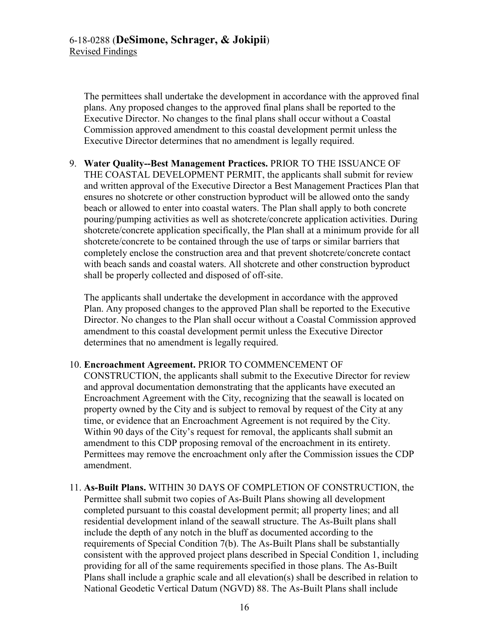The permittees shall undertake the development in accordance with the approved final plans. Any proposed changes to the approved final plans shall be reported to the Executive Director. No changes to the final plans shall occur without a Coastal Commission approved amendment to this coastal development permit unless the Executive Director determines that no amendment is legally required.

9. **Water Quality--Best Management Practices.** PRIOR TO THE ISSUANCE OF THE COASTAL DEVELOPMENT PERMIT, the applicants shall submit for review and written approval of the Executive Director a Best Management Practices Plan that ensures no shotcrete or other construction byproduct will be allowed onto the sandy beach or allowed to enter into coastal waters. The Plan shall apply to both concrete pouring/pumping activities as well as shotcrete/concrete application activities. During shotcrete/concrete application specifically, the Plan shall at a minimum provide for all shotcrete/concrete to be contained through the use of tarps or similar barriers that completely enclose the construction area and that prevent shotcrete/concrete contact with beach sands and coastal waters. All shotcrete and other construction byproduct shall be properly collected and disposed of off-site.

The applicants shall undertake the development in accordance with the approved Plan. Any proposed changes to the approved Plan shall be reported to the Executive Director. No changes to the Plan shall occur without a Coastal Commission approved amendment to this coastal development permit unless the Executive Director determines that no amendment is legally required.

## 10. **Encroachment Agreement.** PRIOR TO COMMENCEMENT OF

CONSTRUCTION, the applicants shall submit to the Executive Director for review and approval documentation demonstrating that the applicants have executed an Encroachment Agreement with the City, recognizing that the seawall is located on property owned by the City and is subject to removal by request of the City at any time, or evidence that an Encroachment Agreement is not required by the City. Within 90 days of the City's request for removal, the applicants shall submit an amendment to this CDP proposing removal of the encroachment in its entirety. Permittees may remove the encroachment only after the Commission issues the CDP amendment.

11. **As-Built Plans.** WITHIN 30 DAYS OF COMPLETION OF CONSTRUCTION, the Permittee shall submit two copies of As-Built Plans showing all development completed pursuant to this coastal development permit; all property lines; and all residential development inland of the seawall structure. The As-Built plans shall include the depth of any notch in the bluff as documented according to the requirements of Special Condition 7(b). The As-Built Plans shall be substantially consistent with the approved project plans described in Special Condition 1, including providing for all of the same requirements specified in those plans. The As-Built Plans shall include a graphic scale and all elevation(s) shall be described in relation to National Geodetic Vertical Datum (NGVD) 88. The As-Built Plans shall include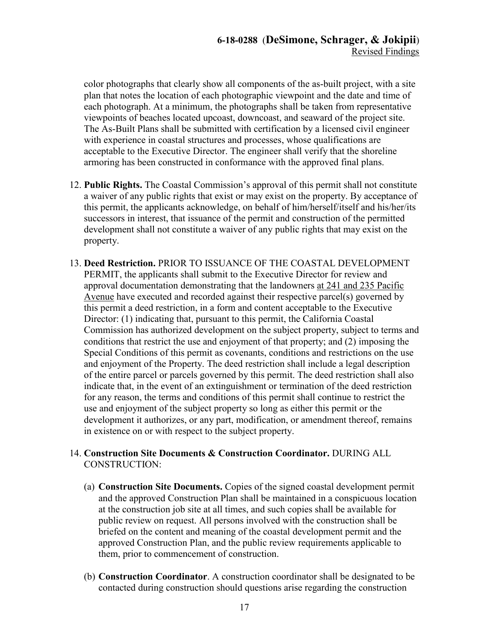color photographs that clearly show all components of the as-built project, with a site plan that notes the location of each photographic viewpoint and the date and time of each photograph. At a minimum, the photographs shall be taken from representative viewpoints of beaches located upcoast, downcoast, and seaward of the project site. The As-Built Plans shall be submitted with certification by a licensed civil engineer with experience in coastal structures and processes, whose qualifications are acceptable to the Executive Director. The engineer shall verify that the shoreline armoring has been constructed in conformance with the approved final plans.

- 12. **Public Rights.** The Coastal Commission's approval of this permit shall not constitute a waiver of any public rights that exist or may exist on the property. By acceptance of this permit, the applicants acknowledge, on behalf of him/herself/itself and his/her/its successors in interest, that issuance of the permit and construction of the permitted development shall not constitute a waiver of any public rights that may exist on the property.
- 13. **Deed Restriction.** PRIOR TO ISSUANCE OF THE COASTAL DEVELOPMENT PERMIT, the applicants shall submit to the Executive Director for review and approval documentation demonstrating that the landowners at 241 and 235 Pacific Avenue have executed and recorded against their respective parcel(s) governed by this permit a deed restriction, in a form and content acceptable to the Executive Director: (1) indicating that, pursuant to this permit, the California Coastal Commission has authorized development on the subject property, subject to terms and conditions that restrict the use and enjoyment of that property; and (2) imposing the Special Conditions of this permit as covenants, conditions and restrictions on the use and enjoyment of the Property. The deed restriction shall include a legal description of the entire parcel or parcels governed by this permit. The deed restriction shall also indicate that, in the event of an extinguishment or termination of the deed restriction for any reason, the terms and conditions of this permit shall continue to restrict the use and enjoyment of the subject property so long as either this permit or the development it authorizes, or any part, modification, or amendment thereof, remains in existence on or with respect to the subject property.

# 14. **Construction Site Documents & Construction Coordinator.** DURING ALL CONSTRUCTION:

- (a) **Construction Site Documents.** Copies of the signed coastal development permit and the approved Construction Plan shall be maintained in a conspicuous location at the construction job site at all times, and such copies shall be available for public review on request. All persons involved with the construction shall be briefed on the content and meaning of the coastal development permit and the approved Construction Plan, and the public review requirements applicable to them, prior to commencement of construction.
- (b) **Construction Coordinator**. A construction coordinator shall be designated to be contacted during construction should questions arise regarding the construction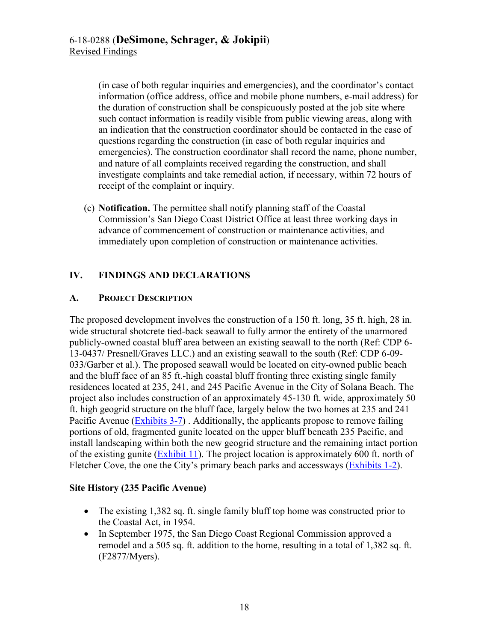(in case of both regular inquiries and emergencies), and the coordinator's contact information (office address, office and mobile phone numbers, e-mail address) for the duration of construction shall be conspicuously posted at the job site where such contact information is readily visible from public viewing areas, along with an indication that the construction coordinator should be contacted in the case of questions regarding the construction (in case of both regular inquiries and emergencies). The construction coordinator shall record the name, phone number, and nature of all complaints received regarding the construction, and shall investigate complaints and take remedial action, if necessary, within 72 hours of receipt of the complaint or inquiry.

(c) **Notification.** The permittee shall notify planning staff of the Coastal Commission's San Diego Coast District Office at least three working days in advance of commencement of construction or maintenance activities, and immediately upon completion of construction or maintenance activities.

# <span id="page-17-0"></span>**IV. FINDINGS AND DECLARATIONS**

# <span id="page-17-1"></span>**A. PROJECT DESCRIPTION**

The proposed development involves the construction of a 150 ft. long, 35 ft. high, 28 in. wide structural shotcrete tied-back seawall to fully armor the entirety of the unarmored publicly-owned coastal bluff area between an existing seawall to the north (Ref: CDP 6- 13-0437/ Presnell/Graves LLC.) and an existing seawall to the south (Ref: CDP 6-09- 033/Garber et al.). The proposed seawall would be located on city-owned public beach and the bluff face of an 85 ft.-high coastal bluff fronting three existing single family residences located at 235, 241, and 245 Pacific Avenue in the City of Solana Beach. The project also includes construction of an approximately 45-130 ft. wide, approximately 50 ft. high geogrid structure on the bluff face, largely below the two homes at 235 and 241 Pacific Avenue [\(Exhibits 3-7\)](https://documents.coastal.ca.gov/reports/2019/9/w21a/w21a-9-2019-exhibits.pdf). Additionally, the applicants propose to remove failing portions of old, fragmented gunite located on the upper bluff beneath 235 Pacific, and install landscaping within both the new geogrid structure and the remaining intact portion of the existing gunite [\(Exhibit 11\)](https://documents.coastal.ca.gov/reports/2019/9/w21a/w21a-9-2019-exhibits.pdf). The project location is approximately 600 ft. north of Fletcher Cove, the one the City's primary beach parks and accessways [\(Exhibits 1-2\)](https://documents.coastal.ca.gov/reports/2019/9/w21a/w21a-9-2019-exhibits.pdf).

# **Site History (235 Pacific Avenue)**

- The existing 1,382 sq. ft. single family bluff top home was constructed prior to the Coastal Act, in 1954.
- In September 1975, the San Diego Coast Regional Commission approved a remodel and a 505 sq. ft. addition to the home, resulting in a total of 1,382 sq. ft. (F2877/Myers).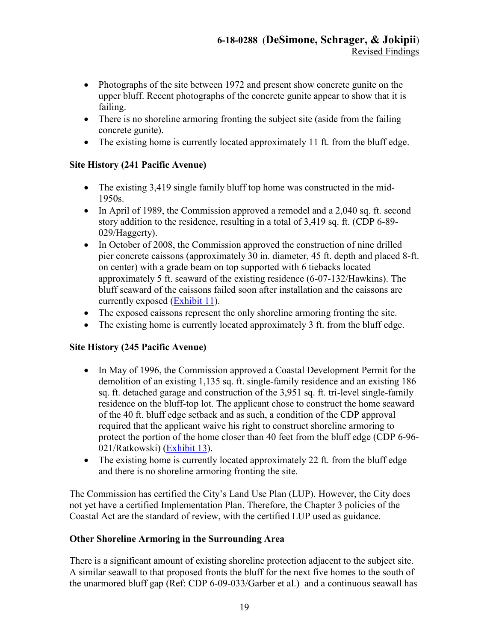- Photographs of the site between 1972 and present show concrete gunite on the upper bluff. Recent photographs of the concrete gunite appear to show that it is failing.
- There is no shoreline armoring fronting the subject site (aside from the failing concrete gunite).
- The existing home is currently located approximately 11 ft. from the bluff edge.

# **Site History (241 Pacific Avenue)**

- The existing 3,419 single family bluff top home was constructed in the mid-1950s.
- In April of 1989, the Commission approved a remodel and a 2,040 sq. ft. second story addition to the residence, resulting in a total of 3,419 sq. ft. (CDP 6-89- 029/Haggerty).
- In October of 2008, the Commission approved the construction of nine drilled pier concrete caissons (approximately 30 in. diameter, 45 ft. depth and placed 8-ft. on center) with a grade beam on top supported with 6 tiebacks located approximately 5 ft. seaward of the existing residence (6-07-132/Hawkins). The bluff seaward of the caissons failed soon after installation and the caissons are currently exposed [\(Exhibit 11\)](https://documents.coastal.ca.gov/reports/2019/9/w21a/w21a-9-2019-exhibits.pdf).
- The exposed caissons represent the only shoreline armoring fronting the site.
- The existing home is currently located approximately 3 ft. from the bluff edge.

# **Site History (245 Pacific Avenue)**

- In May of 1996, the Commission approved a Coastal Development Permit for the demolition of an existing 1,135 sq. ft. single-family residence and an existing 186 sq. ft. detached garage and construction of the 3,951 sq. ft. tri-level single-family residence on the bluff-top lot. The applicant chose to construct the home seaward of the 40 ft. bluff edge setback and as such, a condition of the CDP approval required that the applicant waive his right to construct shoreline armoring to protect the portion of the home closer than 40 feet from the bluff edge (CDP 6-96- 021/Ratkowski) [\(Exhibit 13\)](https://documents.coastal.ca.gov/reports/2019/9/w21a/w21a-9-2019-exhibits.pdf).
- The existing home is currently located approximately 22 ft. from the bluff edge and there is no shoreline armoring fronting the site.

The Commission has certified the City's Land Use Plan (LUP). However, the City does not yet have a certified Implementation Plan. Therefore, the Chapter 3 policies of the Coastal Act are the standard of review, with the certified LUP used as guidance.

# **Other Shoreline Armoring in the Surrounding Area**

There is a significant amount of existing shoreline protection adjacent to the subject site. A similar seawall to that proposed fronts the bluff for the next five homes to the south of the unarmored bluff gap (Ref: CDP 6-09-033/Garber et al.) and a continuous seawall has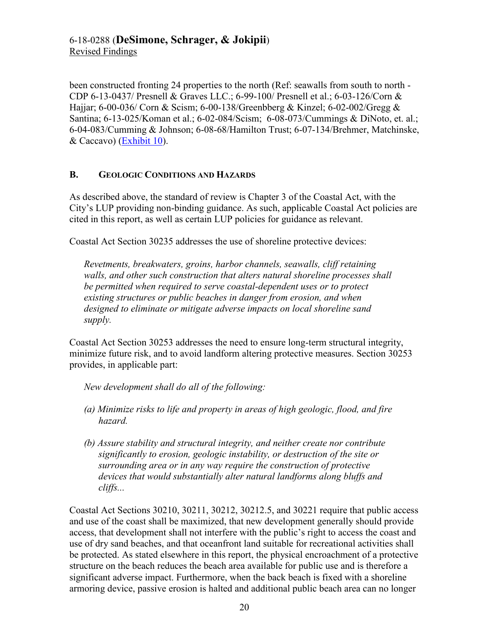been constructed fronting 24 properties to the north (Ref: seawalls from south to north - CDP 6-13-0437/ Presnell & Graves LLC.; 6-99-100/ Presnell et al.; 6-03-126/Corn & Hajjar; 6-00-036/ Corn & Scism; 6-00-138/Greenbberg & Kinzel; 6-02-002/Gregg & Santina; 6-13-025/Koman et al.; 6-02-084/Scism; 6-08-073/Cummings & DiNoto, et. al.; 6-04-083/Cumming & Johnson; 6-08-68/Hamilton Trust; 6-07-134/Brehmer, Matchinske, & Caccavo) [\(Exhibit 10\)](https://documents.coastal.ca.gov/reports/2019/9/w21a/w21a-9-2019-exhibits.pdf).

# <span id="page-19-0"></span>**B. GEOLOGIC CONDITIONS AND HAZARDS**

As described above, the standard of review is Chapter 3 of the Coastal Act, with the City's LUP providing non-binding guidance. As such, applicable Coastal Act policies are cited in this report, as well as certain LUP policies for guidance as relevant.

Coastal Act Section 30235 addresses the use of shoreline protective devices:

*Revetments, breakwaters, groins, harbor channels, seawalls, cliff retaining walls, and other such construction that alters natural shoreline processes shall be permitted when required to serve coastal-dependent uses or to protect existing structures or public beaches in danger from erosion, and when designed to eliminate or mitigate adverse impacts on local shoreline sand supply.* 

Coastal Act Section 30253 addresses the need to ensure long-term structural integrity, minimize future risk, and to avoid landform altering protective measures. Section 30253 provides, in applicable part:

*New development shall do all of the following:*

- *(a) Minimize risks to life and property in areas of high geologic, flood, and fire hazard.*
- *(b) Assure stability and structural integrity, and neither create nor contribute significantly to erosion, geologic instability, or destruction of the site or surrounding area or in any way require the construction of protective devices that would substantially alter natural landforms along bluffs and cliffs...*

Coastal Act Sections 30210, 30211, 30212, 30212.5, and 30221 require that public access and use of the coast shall be maximized, that new development generally should provide access, that development shall not interfere with the public's right to access the coast and use of dry sand beaches, and that oceanfront land suitable for recreational activities shall be protected. As stated elsewhere in this report, the physical encroachment of a protective structure on the beach reduces the beach area available for public use and is therefore a significant adverse impact. Furthermore, when the back beach is fixed with a shoreline armoring device, passive erosion is halted and additional public beach area can no longer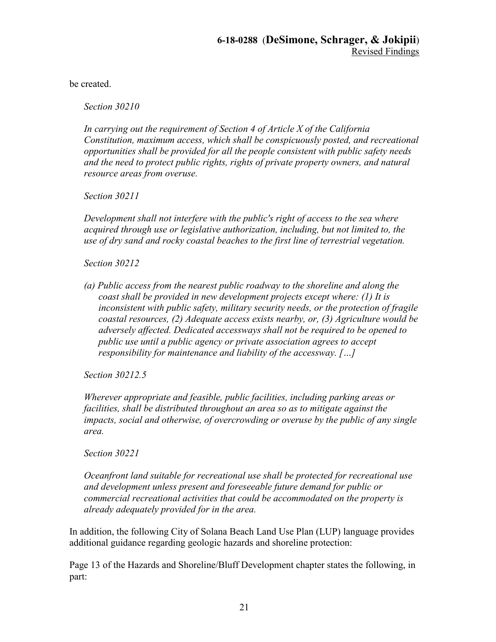be created.

*Section 30210* 

*In carrying out the requirement of Section 4 of Article X of the California Constitution, maximum access, which shall be conspicuously posted, and recreational opportunities shall be provided for all the people consistent with public safety needs and the need to protect public rights, rights of private property owners, and natural resource areas from overuse.* 

*Section 30211* 

*Development shall not interfere with the public's right of access to the sea where acquired through use or legislative authorization, including, but not limited to, the use of dry sand and rocky coastal beaches to the first line of terrestrial vegetation.* 

*Section 30212* 

*(a) Public access from the nearest public roadway to the shoreline and along the coast shall be provided in new development projects except where: (1) It is inconsistent with public safety, military security needs, or the protection of fragile coastal resources, (2) Adequate access exists nearby, or, (3) Agriculture would be adversely affected. Dedicated accessways shall not be required to be opened to public use until a public agency or private association agrees to accept responsibility for maintenance and liability of the accessway. […]* 

*Section 30212.5* 

*Wherever appropriate and feasible, public facilities, including parking areas or facilities, shall be distributed throughout an area so as to mitigate against the impacts, social and otherwise, of overcrowding or overuse by the public of any single area.* 

*Section 30221* 

*Oceanfront land suitable for recreational use shall be protected for recreational use and development unless present and foreseeable future demand for public or commercial recreational activities that could be accommodated on the property is already adequately provided for in the area.* 

In addition, the following City of Solana Beach Land Use Plan (LUP) language provides additional guidance regarding geologic hazards and shoreline protection:

Page 13 of the Hazards and Shoreline/Bluff Development chapter states the following, in part: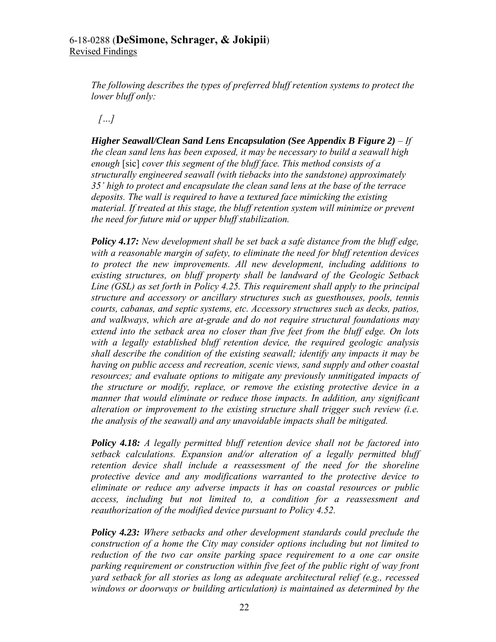*The following describes the types of preferred bluff retention systems to protect the lower bluff only:* 

*[…]* 

*Higher Seawall/Clean Sand Lens Encapsulation (See Appendix B Figure 2) – If the clean sand lens has been exposed, it may be necessary to build a seawall high enough* [sic] *cover this segment of the bluff face. This method consists of a structurally engineered seawall (with tiebacks into the sandstone) approximately 35' high to protect and encapsulate the clean sand lens at the base of the terrace deposits. The wall is required to have a textured face mimicking the existing material. If treated at this stage, the bluff retention system will minimize or prevent the need for future mid or upper bluff stabilization.* 

*Policy 4.17: New development shall be set back a safe distance from the bluff edge, with a reasonable margin of safety, to eliminate the need for bluff retention devices to protect the new improvements. All new development, including additions to existing structures, on bluff property shall be landward of the Geologic Setback Line (GSL) as set forth in Policy 4.25. This requirement shall apply to the principal structure and accessory or ancillary structures such as guesthouses, pools, tennis courts, cabanas, and septic systems, etc. Accessory structures such as decks, patios, and walkways, which are at-grade and do not require structural foundations may extend into the setback area no closer than five feet from the bluff edge. On lots with a legally established bluff retention device, the required geologic analysis shall describe the condition of the existing seawall; identify any impacts it may be having on public access and recreation, scenic views, sand supply and other coastal resources; and evaluate options to mitigate any previously unmitigated impacts of the structure or modify, replace, or remove the existing protective device in a manner that would eliminate or reduce those impacts. In addition, any significant alteration or improvement to the existing structure shall trigger such review (i.e. the analysis of the seawall) and any unavoidable impacts shall be mitigated.* 

*Policy 4.18: A legally permitted bluff retention device shall not be factored into setback calculations. Expansion and/or alteration of a legally permitted bluff retention device shall include a reassessment of the need for the shoreline protective device and any modifications warranted to the protective device to eliminate or reduce any adverse impacts it has on coastal resources or public access, including but not limited to, a condition for a reassessment and reauthorization of the modified device pursuant to Policy 4.52.*

*Policy 4.23: Where setbacks and other development standards could preclude the construction of a home the City may consider options including but not limited to reduction of the two car onsite parking space requirement to a one car onsite parking requirement or construction within five feet of the public right of way front yard setback for all stories as long as adequate architectural relief (e.g., recessed windows or doorways or building articulation) is maintained as determined by the*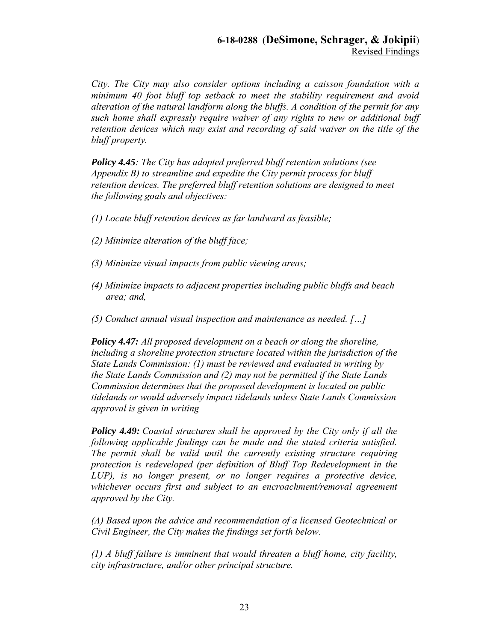*City. The City may also consider options including a caisson foundation with a minimum 40 foot bluff top setback to meet the stability requirement and avoid alteration of the natural landform along the bluffs. A condition of the permit for any such home shall expressly require waiver of any rights to new or additional buff retention devices which may exist and recording of said waiver on the title of the bluff property.* 

*Policy 4.45: The City has adopted preferred bluff retention solutions (see Appendix B) to streamline and expedite the City permit process for bluff retention devices. The preferred bluff retention solutions are designed to meet the following goals and objectives:* 

- *(1) Locate bluff retention devices as far landward as feasible;*
- *(2) Minimize alteration of the bluff face;*
- *(3) Minimize visual impacts from public viewing areas;*
- *(4) Minimize impacts to adjacent properties including public bluffs and beach area; and,*
- *(5) Conduct annual visual inspection and maintenance as needed. […]*

*Policy 4.47: All proposed development on a beach or along the shoreline, including a shoreline protection structure located within the jurisdiction of the State Lands Commission: (1) must be reviewed and evaluated in writing by the State Lands Commission and (2) may not be permitted if the State Lands Commission determines that the proposed development is located on public tidelands or would adversely impact tidelands unless State Lands Commission approval is given in writing*

*Policy 4.49: Coastal structures shall be approved by the City only if all the following applicable findings can be made and the stated criteria satisfied. The permit shall be valid until the currently existing structure requiring protection is redeveloped (per definition of Bluff Top Redevelopment in the LUP), is no longer present, or no longer requires a protective device, whichever occurs first and subject to an encroachment/removal agreement approved by the City.* 

*(A) Based upon the advice and recommendation of a licensed Geotechnical or Civil Engineer, the City makes the findings set forth below.* 

*(1) A bluff failure is imminent that would threaten a bluff home, city facility, city infrastructure, and/or other principal structure.*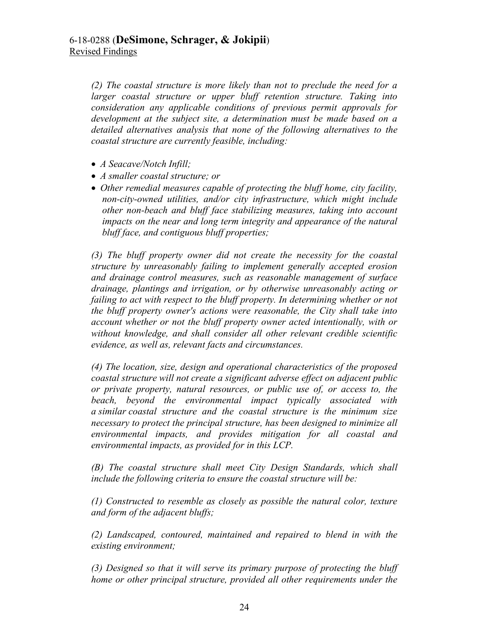*(2) The coastal structure is more likely than not to preclude the need for a larger coastal structure or upper bluff retention structure. Taking into consideration any applicable conditions of previous permit approvals for development at the subject site, a determination must be made based on a detailed alternatives analysis that none of the following alternatives to the coastal structure are currently feasible, including:* 

- *A Seacave/Notch Infill;*
- *A smaller coastal structure; or*
- *Other remedial measures capable of protecting the bluff home, city facility, non-city-owned utilities, and/or city infrastructure, which might include other non-beach and bluff face stabilizing measures, taking into account impacts on the near and long term integrity and appearance of the natural bluff face, and contiguous bluff properties;*

*(3) The bluff property owner did not create the necessity for the coastal structure by unreasonably failing to implement generally accepted erosion and drainage control measures, such as reasonable management of surface drainage, plantings and irrigation, or by otherwise unreasonably acting or failing to act with respect to the bluff property. In determining whether or not the bluff property owner's actions were reasonable, the City shall take into account whether or not the bluff property owner acted intentionally, with or without knowledge, and shall consider all other relevant credible scientific evidence, as well as, relevant facts and circumstances.* 

*(4) The location, size, design and operational characteristics of the proposed coastal structure will not create a significant adverse effect on adjacent public or private property, natural resources, or public use of, or access to, the beach, beyond the environmental impact typically associated with a similar coastal structure and the coastal structure is the minimum size necessary to protect the principal structure, has been designed to minimize all environmental impacts, and provides mitigation for all coastal and environmental impacts, as provided for in this LCP.* 

*(B) The coastal structure shall meet City Design Standards, which shall include the following criteria to ensure the coastal structure will be:* 

*(1) Constructed to resemble as closely as possible the natural color, texture and form of the adjacent bluffs;* 

*(2) Landscaped, contoured, maintained and repaired to blend in with the existing environment;* 

*(3) Designed so that it will serve its primary purpose of protecting the bluff home or other principal structure, provided all other requirements under the*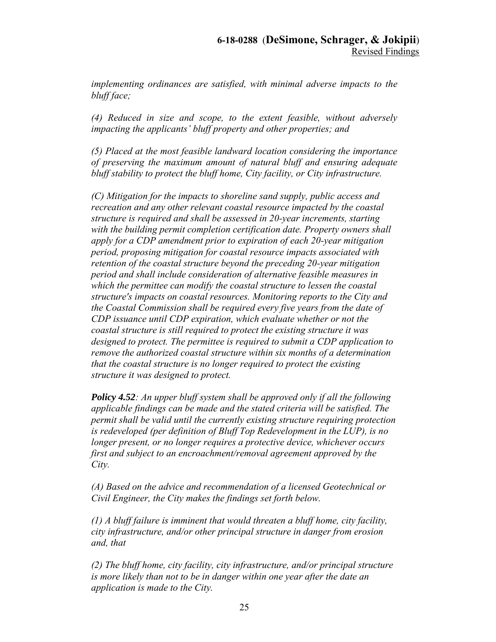*implementing ordinances are satisfied, with minimal adverse impacts to the bluff face;* 

*(4) Reduced in size and scope, to the extent feasible, without adversely impacting the applicants' bluff property and other properties; and* 

*(5) Placed at the most feasible landward location considering the importance of preserving the maximum amount of natural bluff and ensuring adequate bluff stability to protect the bluff home, City facility, or City infrastructure.* 

*(C) Mitigation for the impacts to shoreline sand supply, public access and recreation and any other relevant coastal resource impacted by the coastal structure is required and shall be assessed in 20-year increments, starting with the building permit completion certification date. Property owners shall apply for a CDP amendment prior to expiration of each 20-year mitigation period, proposing mitigation for coastal resource impacts associated with retention of the coastal structure beyond the preceding 20-year mitigation period and shall include consideration of alternative feasible measures in which the permittee can modify the coastal structure to lessen the coastal structure's impacts on coastal resources. Monitoring reports to the City and the Coastal Commission shall be required every five years from the date of CDP issuance until CDP expiration, which evaluate whether or not the coastal structure is still required to protect the existing structure it was designed to protect. The permittee is required to submit a CDP application to remove the authorized coastal structure within six months of a determination that the coastal structure is no longer required to protect the existing structure it was designed to protect.* 

*Policy 4.52: An upper bluff system shall be approved only if all the following applicable findings can be made and the stated criteria will be satisfied. The permit shall be valid until the currently existing structure requiring protection is redeveloped (per definition of Bluff Top Redevelopment in the LUP), is no longer present, or no longer requires a protective device, whichever occurs first and subject to an encroachment/removal agreement approved by the City.* 

*(A) Based on the advice and recommendation of a licensed Geotechnical or Civil Engineer, the City makes the findings set forth below.* 

*(1) A bluff failure is imminent that would threaten a bluff home, city facility, city infrastructure, and/or other principal structure in danger from erosion and, that* 

*(2) The bluff home, city facility, city infrastructure, and/or principal structure is more likely than not to be in danger within one year after the date an application is made to the City.*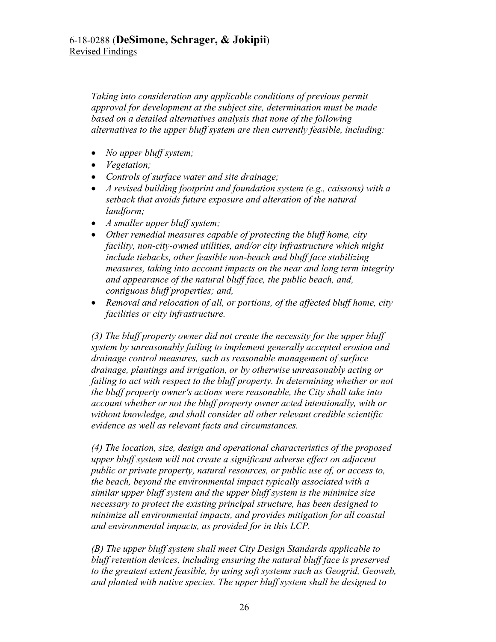*Taking into consideration any applicable conditions of previous permit approval for development at the subject site, determination must be made based on a detailed alternatives analysis that none of the following alternatives to the upper bluff system are then currently feasible, including:* 

- *No upper bluff system;*
- *Vegetation;*
- *Controls of surface water and site drainage;*
- *A revised building footprint and foundation system (e.g., caissons) with a setback that avoids future exposure and alteration of the natural landform;*
- *A smaller upper bluff system;*
- *Other remedial measures capable of protecting the bluff home, city facility, non-city-owned utilities, and/or city infrastructure which might include tiebacks, other feasible non-beach and bluff face stabilizing measures, taking into account impacts on the near and long term integrity and appearance of the natural bluff face, the public beach, and, contiguous bluff properties; and,*
- *Removal and relocation of all, or portions, of the affected bluff home, city facilities or city infrastructure.*

*(3) The bluff property owner did not create the necessity for the upper bluff system by unreasonably failing to implement generally accepted erosion and drainage control measures, such as reasonable management of surface drainage, plantings and irrigation, or by otherwise unreasonably acting or failing to act with respect to the bluff property. In determining whether or not the bluff property owner's actions were reasonable, the City shall take into account whether or not the bluff property owner acted intentionally, with or without knowledge, and shall consider all other relevant credible scientific evidence as well as relevant facts and circumstances.* 

*(4) The location, size, design and operational characteristics of the proposed upper bluff system will not create a significant adverse effect on adjacent public or private property, natural resources, or public use of, or access to, the beach, beyond the environmental impact typically associated with a similar upper bluff system and the upper bluff system is the minimize size necessary to protect the existing principal structure, has been designed to minimize all environmental impacts, and provides mitigation for all coastal and environmental impacts, as provided for in this LCP.* 

*(B) The upper bluff system shall meet City Design Standards applicable to bluff retention devices, including ensuring the natural bluff face is preserved to the greatest extent feasible, by using soft systems such as Geogrid, Geoweb, and planted with native species. The upper bluff system shall be designed to*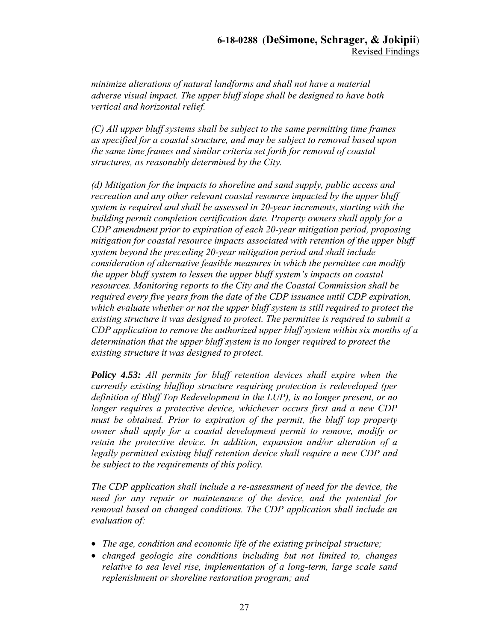*minimize alterations of natural landforms and shall not have a material adverse visual impact. The upper bluff slope shall be designed to have both vertical and horizontal relief.* 

*(C) All upper bluff systems shall be subject to the same permitting time frames as specified for a coastal structure, and may be subject to removal based upon the same time frames and similar criteria set forth for removal of coastal structures, as reasonably determined by the City.* 

*(d) Mitigation for the impacts to shoreline and sand supply, public access and recreation and any other relevant coastal resource impacted by the upper bluff system is required and shall be assessed in 20-year increments, starting with the building permit completion certification date. Property owners shall apply for a CDP amendment prior to expiration of each 20-year mitigation period, proposing mitigation for coastal resource impacts associated with retention of the upper bluff system beyond the preceding 20-year mitigation period and shall include consideration of alternative feasible measures in which the permittee can modify the upper bluff system to lessen the upper bluff system's impacts on coastal resources. Monitoring reports to the City and the Coastal Commission shall be required every five years from the date of the CDP issuance until CDP expiration, which evaluate whether or not the upper bluff system is still required to protect the existing structure it was designed to protect. The permittee is required to submit a CDP application to remove the authorized upper bluff system within six months of a determination that the upper bluff system is no longer required to protect the existing structure it was designed to protect.* 

*Policy 4.53: All permits for bluff retention devices shall expire when the currently existing blufftop structure requiring protection is redeveloped (per definition of Bluff Top Redevelopment in the LUP), is no longer present, or no longer requires a protective device, whichever occurs first and a new CDP must be obtained. Prior to expiration of the permit, the bluff top property owner shall apply for a coastal development permit to remove, modify or retain the protective device. In addition, expansion and/or alteration of a legally permitted existing bluff retention device shall require a new CDP and be subject to the requirements of this policy.* 

*The CDP application shall include a re-assessment of need for the device, the need for any repair or maintenance of the device, and the potential for removal based on changed conditions. The CDP application shall include an evaluation of:* 

- *The age, condition and economic life of the existing principal structure;*
- *changed geologic site conditions including but not limited to, changes relative to sea level rise, implementation of a long-term, large scale sand replenishment or shoreline restoration program; and*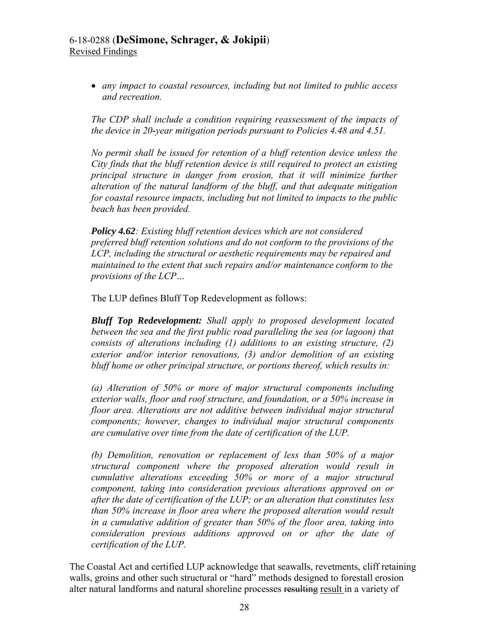*any impact to coastal resources, including but not limited to public access and recreation.* 

*The CDP shall include a condition requiring reassessment of the impacts of the device in 20-year mitigation periods pursuant to Policies 4.48 and 4.51.* 

*No permit shall be issued for retention of a bluff retention device unless the City finds that the bluff retention device is still required to protect an existing principal structure in danger from erosion, that it will minimize further alteration of the natural landform of the bluff, and that adequate mitigation for coastal resource impacts, including but not limited to impacts to the public beach has been provided.* 

*Policy 4.62: Existing bluff retention devices which are not considered preferred bluff retention solutions and do not conform to the provisions of the LCP, including the structural or aesthetic requirements may be repaired and maintained to the extent that such repairs and/or maintenance conform to the provisions of the LCP…* 

The LUP defines Bluff Top Redevelopment as follows:

*Bluff Top Redevelopment: Shall apply to proposed development located between the sea and the first public road paralleling the sea (or lagoon) that consists of alterations including (1) additions to an existing structure, (2) exterior and/or interior renovations, (3) and/or demolition of an existing bluff home or other principal structure, or portions thereof, which results in:* 

*(a) Alteration of 50% or more of major structural components including exterior walls, floor and roof structure, and foundation, or a 50% increase in floor area. Alterations are not additive between individual major structural components; however, changes to individual major structural components are cumulative over time from the date of certification of the LUP.*

*(b) Demolition, renovation or replacement of less than 50% of a major structural component where the proposed alteration would result in cumulative alterations exceeding 50% or more of a major structural component, taking into consideration previous alterations approved on or after the date of certification of the LUP; or an alteration that constitutes less than 50% increase in floor area where the proposed alteration would result in a cumulative addition of greater than 50% of the floor area, taking into consideration previous additions approved on or after the date of certification of the LUP.*

The Coastal Act and certified LUP acknowledge that seawalls, revetments, cliff retaining walls, groins and other such structural or "hard" methods designed to forestall erosion alter natural landforms and natural shoreline processes resulting result in a variety of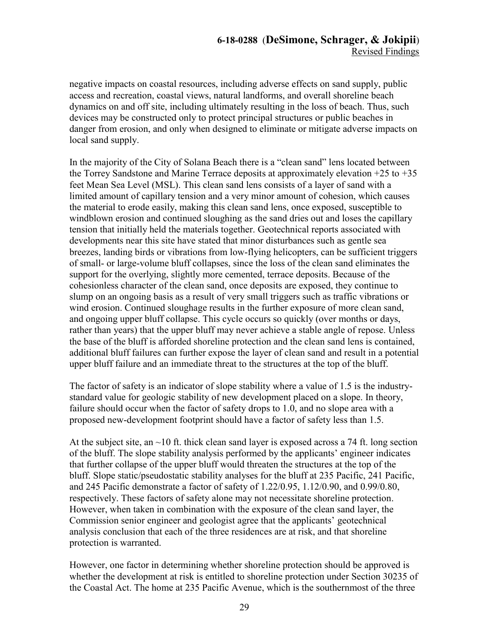negative impacts on coastal resources, including adverse effects on sand supply, public access and recreation, coastal views, natural landforms, and overall shoreline beach dynamics on and off site, including ultimately resulting in the loss of beach. Thus, such devices may be constructed only to protect principal structures or public beaches in danger from erosion, and only when designed to eliminate or mitigate adverse impacts on local sand supply.

In the majority of the City of Solana Beach there is a "clean sand" lens located between the Torrey Sandstone and Marine Terrace deposits at approximately elevation  $+25$  to  $+35$ feet Mean Sea Level (MSL). This clean sand lens consists of a layer of sand with a limited amount of capillary tension and a very minor amount of cohesion, which causes the material to erode easily, making this clean sand lens, once exposed, susceptible to windblown erosion and continued sloughing as the sand dries out and loses the capillary tension that initially held the materials together. Geotechnical reports associated with developments near this site have stated that minor disturbances such as gentle sea breezes, landing birds or vibrations from low-flying helicopters, can be sufficient triggers of small- or large-volume bluff collapses, since the loss of the clean sand eliminates the support for the overlying, slightly more cemented, terrace deposits. Because of the cohesionless character of the clean sand, once deposits are exposed, they continue to slump on an ongoing basis as a result of very small triggers such as traffic vibrations or wind erosion. Continued sloughage results in the further exposure of more clean sand, and ongoing upper bluff collapse. This cycle occurs so quickly (over months or days, rather than years) that the upper bluff may never achieve a stable angle of repose. Unless the base of the bluff is afforded shoreline protection and the clean sand lens is contained, additional bluff failures can further expose the layer of clean sand and result in a potential upper bluff failure and an immediate threat to the structures at the top of the bluff.

The factor of safety is an indicator of slope stability where a value of 1.5 is the industrystandard value for geologic stability of new development placed on a slope. In theory, failure should occur when the factor of safety drops to 1.0, and no slope area with a proposed new-development footprint should have a factor of safety less than 1.5.

At the subject site, an  $\sim$ 10 ft. thick clean sand layer is exposed across a 74 ft. long section of the bluff. The slope stability analysis performed by the applicants' engineer indicates that further collapse of the upper bluff would threaten the structures at the top of the bluff. Slope static/pseudostatic stability analyses for the bluff at 235 Pacific, 241 Pacific, and 245 Pacific demonstrate a factor of safety of 1.22/0.95, 1.12/0.90, and 0.99/0.80, respectively. These factors of safety alone may not necessitate shoreline protection. However, when taken in combination with the exposure of the clean sand layer, the Commission senior engineer and geologist agree that the applicants' geotechnical analysis conclusion that each of the three residences are at risk, and that shoreline protection is warranted.

However, one factor in determining whether shoreline protection should be approved is whether the development at risk is entitled to shoreline protection under Section 30235 of the Coastal Act. The home at 235 Pacific Avenue, which is the southernmost of the three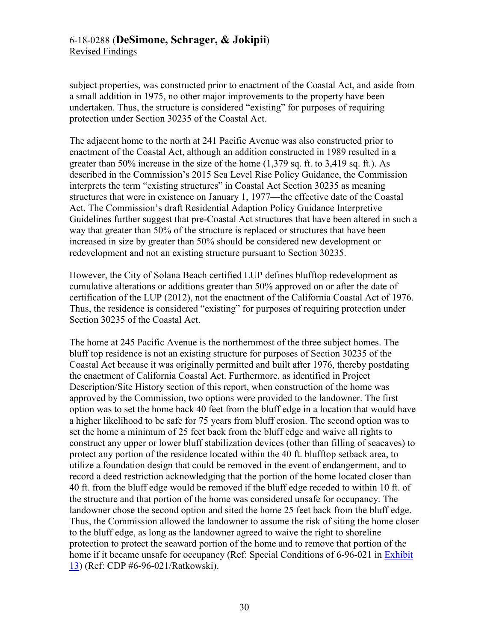subject properties, was constructed prior to enactment of the Coastal Act, and aside from a small addition in 1975, no other major improvements to the property have been undertaken. Thus, the structure is considered "existing" for purposes of requiring protection under Section 30235 of the Coastal Act.

The adjacent home to the north at 241 Pacific Avenue was also constructed prior to enactment of the Coastal Act, although an addition constructed in 1989 resulted in a greater than 50% increase in the size of the home (1,379 sq. ft. to 3,419 sq. ft.). As described in the Commission's 2015 Sea Level Rise Policy Guidance, the Commission interprets the term "existing structures" in Coastal Act Section 30235 as meaning structures that were in existence on January 1, 1977—the effective date of the Coastal Act. The Commission's draft Residential Adaption Policy Guidance Interpretive Guidelines further suggest that pre-Coastal Act structures that have been altered in such a way that greater than 50% of the structure is replaced or structures that have been increased in size by greater than 50% should be considered new development or redevelopment and not an existing structure pursuant to Section 30235.

However, the City of Solana Beach certified LUP defines blufftop redevelopment as cumulative alterations or additions greater than 50% approved on or after the date of certification of the LUP (2012), not the enactment of the California Coastal Act of 1976. Thus, the residence is considered "existing" for purposes of requiring protection under Section 30235 of the Coastal Act.

The home at 245 Pacific Avenue is the northernmost of the three subject homes. The bluff top residence is not an existing structure for purposes of Section 30235 of the Coastal Act because it was originally permitted and built after 1976, thereby postdating the enactment of California Coastal Act. Furthermore, as identified in Project Description/Site History section of this report, when construction of the home was approved by the Commission, two options were provided to the landowner. The first option was to set the home back 40 feet from the bluff edge in a location that would have a higher likelihood to be safe for 75 years from bluff erosion. The second option was to set the home a minimum of 25 feet back from the bluff edge and waive all rights to construct any upper or lower bluff stabilization devices (other than filling of seacaves) to protect any portion of the residence located within the 40 ft. blufftop setback area, to utilize a foundation design that could be removed in the event of endangerment, and to record a deed restriction acknowledging that the portion of the home located closer than 40 ft. from the bluff edge would be removed if the bluff edge receded to within 10 ft. of the structure and that portion of the home was considered unsafe for occupancy. The landowner chose the second option and sited the home 25 feet back from the bluff edge. Thus, the Commission allowed the landowner to assume the risk of siting the home closer to the bluff edge, as long as the landowner agreed to waive the right to shoreline protection to protect the seaward portion of the home and to remove that portion of the home if it became unsafe for occupancy (Ref: Special Conditions of 6-96-021 in Exhibit [13\)](https://documents.coastal.ca.gov/reports/2019/9/w21a/w21a-9-2019-exhibits.pdf) (Ref: CDP #6-96-021/Ratkowski).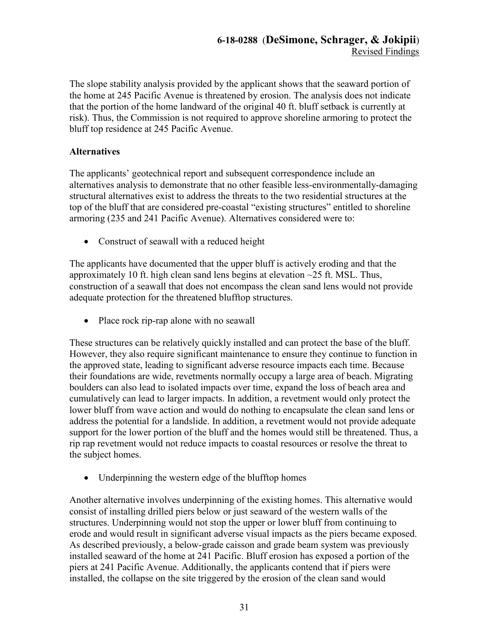The slope stability analysis provided by the applicant shows that the seaward portion of the home at 245 Pacific Avenue is threatened by erosion. The analysis does not indicate that the portion of the home landward of the original 40 ft. bluff setback is currently at risk). Thus, the Commission is not required to approve shoreline armoring to protect the bluff top residence at 245 Pacific Avenue.

# **Alternatives**

The applicants' geotechnical report and subsequent correspondence include an alternatives analysis to demonstrate that no other feasible less-environmentally-damaging structural alternatives exist to address the threats to the two residential structures at the top of the bluff that are considered pre-coastal "existing structures" entitled to shoreline armoring (235 and 241 Pacific Avenue). Alternatives considered were to:

• Construct of seawall with a reduced height

The applicants have documented that the upper bluff is actively eroding and that the approximately 10 ft. high clean sand lens begins at elevation  $\sim$ 25 ft. MSL. Thus, construction of a seawall that does not encompass the clean sand lens would not provide adequate protection for the threatened blufftop structures.

• Place rock rip-rap alone with no seawall

These structures can be relatively quickly installed and can protect the base of the bluff. However, they also require significant maintenance to ensure they continue to function in the approved state, leading to significant adverse resource impacts each time. Because their foundations are wide, revetments normally occupy a large area of beach. Migrating boulders can also lead to isolated impacts over time, expand the loss of beach area and cumulatively can lead to larger impacts. In addition, a revetment would only protect the lower bluff from wave action and would do nothing to encapsulate the clean sand lens or address the potential for a landslide. In addition, a revetment would not provide adequate support for the lower portion of the bluff and the homes would still be threatened. Thus, a rip rap revetment would not reduce impacts to coastal resources or resolve the threat to the subject homes.

• Underpinning the western edge of the blufftop homes

Another alternative involves underpinning of the existing homes. This alternative would consist of installing drilled piers below or just seaward of the western walls of the structures. Underpinning would not stop the upper or lower bluff from continuing to erode and would result in significant adverse visual impacts as the piers became exposed. As described previously, a below-grade caisson and grade beam system was previously installed seaward of the home at 241 Pacific. Bluff erosion has exposed a portion of the piers at 241 Pacific Avenue. Additionally, the applicants contend that if piers were installed, the collapse on the site triggered by the erosion of the clean sand would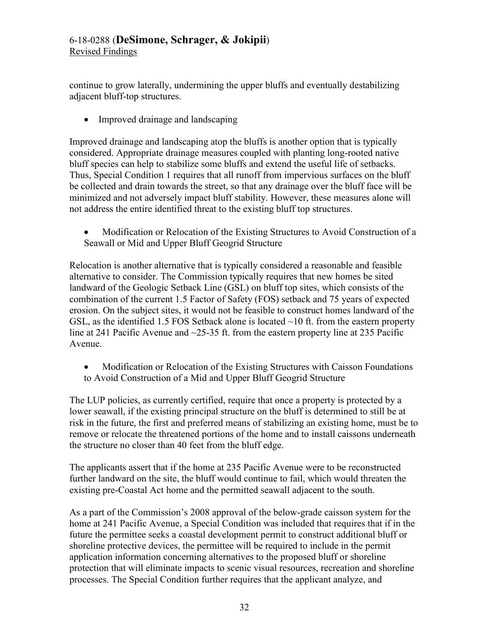continue to grow laterally, undermining the upper bluffs and eventually destabilizing adjacent bluff-top structures.

• Improved drainage and landscaping

Improved drainage and landscaping atop the bluffs is another option that is typically considered. Appropriate drainage measures coupled with planting long-rooted native bluff species can help to stabilize some bluffs and extend the useful life of setbacks. Thus, Special Condition 1 requires that all runoff from impervious surfaces on the bluff be collected and drain towards the street, so that any drainage over the bluff face will be minimized and not adversely impact bluff stability. However, these measures alone will not address the entire identified threat to the existing bluff top structures.

 Modification or Relocation of the Existing Structures to Avoid Construction of a Seawall or Mid and Upper Bluff Geogrid Structure

Relocation is another alternative that is typically considered a reasonable and feasible alternative to consider. The Commission typically requires that new homes be sited landward of the Geologic Setback Line (GSL) on bluff top sites, which consists of the combination of the current 1.5 Factor of Safety (FOS) setback and 75 years of expected erosion. On the subject sites, it would not be feasible to construct homes landward of the GSL, as the identified 1.5 FOS Setback alone is located  $\sim$ 10 ft. from the eastern property line at 241 Pacific Avenue and ~25-35 ft. from the eastern property line at 235 Pacific Avenue.

• Modification or Relocation of the Existing Structures with Caisson Foundations to Avoid Construction of a Mid and Upper Bluff Geogrid Structure

The LUP policies, as currently certified, require that once a property is protected by a lower seawall, if the existing principal structure on the bluff is determined to still be at risk in the future, the first and preferred means of stabilizing an existing home, must be to remove or relocate the threatened portions of the home and to install caissons underneath the structure no closer than 40 feet from the bluff edge.

The applicants assert that if the home at 235 Pacific Avenue were to be reconstructed further landward on the site, the bluff would continue to fail, which would threaten the existing pre-Coastal Act home and the permitted seawall adjacent to the south.

As a part of the Commission's 2008 approval of the below-grade caisson system for the home at 241 Pacific Avenue, a Special Condition was included that requires that if in the future the permittee seeks a coastal development permit to construct additional bluff or shoreline protective devices, the permittee will be required to include in the permit application information concerning alternatives to the proposed bluff or shoreline protection that will eliminate impacts to scenic visual resources, recreation and shoreline processes. The Special Condition further requires that the applicant analyze, and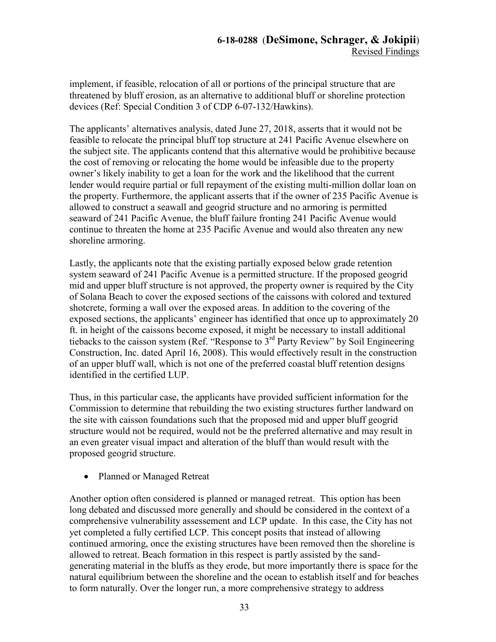implement, if feasible, relocation of all or portions of the principal structure that are threatened by bluff erosion, as an alternative to additional bluff or shoreline protection devices (Ref: Special Condition 3 of CDP 6-07-132/Hawkins).

The applicants' alternatives analysis, dated June 27, 2018, asserts that it would not be feasible to relocate the principal bluff top structure at 241 Pacific Avenue elsewhere on the subject site. The applicants contend that this alternative would be prohibitive because the cost of removing or relocating the home would be infeasible due to the property owner's likely inability to get a loan for the work and the likelihood that the current lender would require partial or full repayment of the existing multi-million dollar loan on the property. Furthermore, the applicant asserts that if the owner of 235 Pacific Avenue is allowed to construct a seawall and geogrid structure and no armoring is permitted seaward of 241 Pacific Avenue, the bluff failure fronting 241 Pacific Avenue would continue to threaten the home at 235 Pacific Avenue and would also threaten any new shoreline armoring.

Lastly, the applicants note that the existing partially exposed below grade retention system seaward of 241 Pacific Avenue is a permitted structure. If the proposed geogrid mid and upper bluff structure is not approved, the property owner is required by the City of Solana Beach to cover the exposed sections of the caissons with colored and textured shotcrete, forming a wall over the exposed areas. In addition to the covering of the exposed sections, the applicants' engineer has identified that once up to approximately 20 ft. in height of the caissons become exposed, it might be necessary to install additional tiebacks to the caisson system (Ref. "Response to  $3<sup>rd</sup>$  Party Review" by Soil Engineering Construction, Inc. dated April 16, 2008). This would effectively result in the construction of an upper bluff wall, which is not one of the preferred coastal bluff retention designs identified in the certified LUP.

Thus, in this particular case, the applicants have provided sufficient information for the Commission to determine that rebuilding the two existing structures further landward on the site with caisson foundations such that the proposed mid and upper bluff geogrid structure would not be required, would not be the preferred alternative and may result in an even greater visual impact and alteration of the bluff than would result with the proposed geogrid structure.

• Planned or Managed Retreat

Another option often considered is planned or managed retreat. This option has been long debated and discussed more generally and should be considered in the context of a comprehensive vulnerability assessement and LCP update. In this case, the City has not yet completed a fully certified LCP. This concept posits that instead of allowing continued armoring, once the existing structures have been removed then the shoreline is allowed to retreat. Beach formation in this respect is partly assisted by the sandgenerating material in the bluffs as they erode, but more importantly there is space for the natural equilibrium between the shoreline and the ocean to establish itself and for beaches to form naturally. Over the longer run, a more comprehensive strategy to address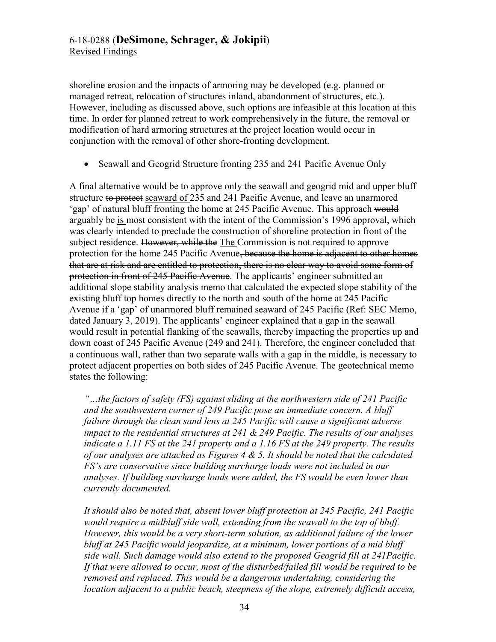shoreline erosion and the impacts of armoring may be developed (e.g. planned or managed retreat, relocation of structures inland, abandonment of structures, etc.). However, including as discussed above, such options are infeasible at this location at this time. In order for planned retreat to work comprehensively in the future, the removal or modification of hard armoring structures at the project location would occur in conjunction with the removal of other shore-fronting development.

• Seawall and Geogrid Structure fronting 235 and 241 Pacific Avenue Only

A final alternative would be to approve only the seawall and geogrid mid and upper bluff structure to protect seaward of 235 and 241 Pacific Avenue, and leave an unarmored 'gap' of natural bluff fronting the home at 245 Pacific Avenue. This approach would arguably be is most consistent with the intent of the Commission's 1996 approval, which was clearly intended to preclude the construction of shoreline protection in front of the subject residence. However, while the The Commission is not required to approve protection for the home 245 Pacific Avenue, because the home is adjacent to other homes that are at risk and are entitled to protection, there is no clear way to avoid some form of protection in front of 245 Pacific Avenue. The applicants' engineer submitted an additional slope stability analysis memo that calculated the expected slope stability of the existing bluff top homes directly to the north and south of the home at 245 Pacific Avenue if a 'gap' of unarmored bluff remained seaward of 245 Pacific (Ref: SEC Memo, dated January 3, 2019). The applicants' engineer explained that a gap in the seawall would result in potential flanking of the seawalls, thereby impacting the properties up and down coast of 245 Pacific Avenue (249 and 241). Therefore, the engineer concluded that a continuous wall, rather than two separate walls with a gap in the middle, is necessary to protect adjacent properties on both sides of 245 Pacific Avenue. The geotechnical memo states the following:

*"…the factors of safety (FS) against sliding at the northwestern side of 241 Pacific and the southwestern corner of 249 Pacific pose an immediate concern. A bluff failure through the clean sand lens at 245 Pacific will cause a significant adverse impact to the residential structures at 241 & 249 Pacific. The results of our analyses indicate a 1.11 FS at the 241 property and a 1.16 FS at the 249 property. The results of our analyses are attached as Figures 4 & 5. It should be noted that the calculated FS's are conservative since building surcharge loads were not included in our analyses. If building surcharge loads were added, the FS would be even lower than currently documented.* 

*It should also be noted that, absent lower bluff protection at 245 Pacific, 241 Pacific would require a midbluff side wall, extending from the seawall to the top of bluff. However, this would be a very short-term solution, as additional failure of the lower bluff at 245 Pacific would jeopardize, at a minimum, lower portions of a mid bluff side wall. Such damage would also extend to the proposed Geogrid fill at 241Pacific. If that were allowed to occur, most of the disturbed/failed fill would be required to be removed and replaced. This would be a dangerous undertaking, considering the location adjacent to a public beach, steepness of the slope, extremely difficult access,*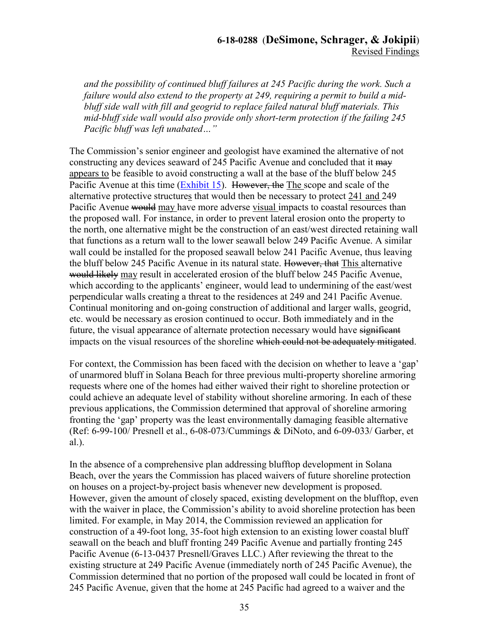# **6-18-0288** (**DeSimone, Schrager, & Jokipii**) Revised Findings

*and the possibility of continued bluff failures at 245 Pacific during the work. Such a failure would also extend to the property at 249, requiring a permit to build a midbluff side wall with fill and geogrid to replace failed natural bluff materials. This mid-bluff side wall would also provide only short-term protection if the failing 245 Pacific bluff was left unabated…"* 

The Commission's senior engineer and geologist have examined the alternative of not constructing any devices seaward of 245 Pacific Avenue and concluded that it may appears to be feasible to avoid constructing a wall at the base of the bluff below 245 Pacific Avenue at this time [\(Exhibit 15\)](https://documents.coastal.ca.gov/reports/2019/9/w21a/w21a-9-2019-exhibits.pdf). However, the The scope and scale of the alternative protective structures that would then be necessary to protect 241 and 249 Pacific Avenue would may have more adverse visual impacts to coastal resources than the proposed wall. For instance, in order to prevent lateral erosion onto the property to the north, one alternative might be the construction of an east/west directed retaining wall that functions as a return wall to the lower seawall below 249 Pacific Avenue. A similar wall could be installed for the proposed seawall below 241 Pacific Avenue, thus leaving the bluff below 245 Pacific Avenue in its natural state. However, that This alternative would likely may result in accelerated erosion of the bluff below 245 Pacific Avenue, which according to the applicants' engineer, would lead to undermining of the east/west perpendicular walls creating a threat to the residences at 249 and 241 Pacific Avenue. Continual monitoring and on-going construction of additional and larger walls, geogrid, etc. would be necessary as erosion continued to occur. Both immediately and in the future, the visual appearance of alternate protection necessary would have significant impacts on the visual resources of the shoreline which could not be adequately mitigated.

For context, the Commission has been faced with the decision on whether to leave a 'gap' of unarmored bluff in Solana Beach for three previous multi-property shoreline armoring requests where one of the homes had either waived their right to shoreline protection or could achieve an adequate level of stability without shoreline armoring. In each of these previous applications, the Commission determined that approval of shoreline armoring fronting the 'gap' property was the least environmentally damaging feasible alternative (Ref: 6-99-100/ Presnell et al., 6-08-073/Cummings & DiNoto, and 6-09-033/ Garber, et al.).

In the absence of a comprehensive plan addressing blufftop development in Solana Beach, over the years the Commission has placed waivers of future shoreline protection on houses on a project-by-project basis whenever new development is proposed. However, given the amount of closely spaced, existing development on the blufftop, even with the waiver in place, the Commission's ability to avoid shoreline protection has been limited. For example, in May 2014, the Commission reviewed an application for construction of a 49-foot long, 35-foot high extension to an existing lower coastal bluff seawall on the beach and bluff fronting 249 Pacific Avenue and partially fronting 245 Pacific Avenue (6-13-0437 Presnell/Graves LLC.) After reviewing the threat to the existing structure at 249 Pacific Avenue (immediately north of 245 Pacific Avenue), the Commission determined that no portion of the proposed wall could be located in front of 245 Pacific Avenue, given that the home at 245 Pacific had agreed to a waiver and the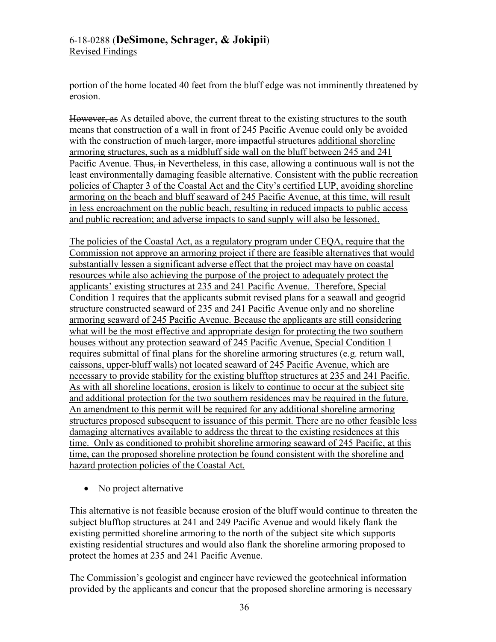# 6-18-0288 (**DeSimone, Schrager, & Jokipii**)

Revised Findings

portion of the home located 40 feet from the bluff edge was not imminently threatened by erosion.

However, as As detailed above, the current threat to the existing structures to the south means that construction of a wall in front of 245 Pacific Avenue could only be avoided with the construction of <del>much larger, more impactful structures</del> additional shoreline armoring structures, such as a midbluff side wall on the bluff between 245 and 241 Pacific Avenue. Thus, in Nevertheless, in this case, allowing a continuous wall is not the least environmentally damaging feasible alternative. Consistent with the public recreation policies of Chapter 3 of the Coastal Act and the City's certified LUP, avoiding shoreline armoring on the beach and bluff seaward of 245 Pacific Avenue, at this time, will result in less encroachment on the public beach, resulting in reduced impacts to public access and public recreation; and adverse impacts to sand supply will also be lessoned.

The policies of the Coastal Act, as a regulatory program under CEQA, require that the Commission not approve an armoring project if there are feasible alternatives that would substantially lessen a significant adverse effect that the project may have on coastal resources while also achieving the purpose of the project to adequately protect the applicants' existing structures at 235 and 241 Pacific Avenue. Therefore, Special Condition 1 requires that the applicants submit revised plans for a seawall and geogrid structure constructed seaward of 235 and 241 Pacific Avenue only and no shoreline armoring seaward of 245 Pacific Avenue. Because the applicants are still considering what will be the most effective and appropriate design for protecting the two southern houses without any protection seaward of 245 Pacific Avenue, Special Condition 1 requires submittal of final plans for the shoreline armoring structures (e.g. return wall, caissons, upper-bluff walls) not located seaward of 245 Pacific Avenue, which are necessary to provide stability for the existing blufftop structures at 235 and 241 Pacific. As with all shoreline locations, erosion is likely to continue to occur at the subject site and additional protection for the two southern residences may be required in the future. An amendment to this permit will be required for any additional shoreline armoring structures proposed subsequent to issuance of this permit. There are no other feasible less damaging alternatives available to address the threat to the existing residences at this time. Only as conditioned to prohibit shoreline armoring seaward of 245 Pacific, at this time, can the proposed shoreline protection be found consistent with the shoreline and hazard protection policies of the Coastal Act.

• No project alternative

This alternative is not feasible because erosion of the bluff would continue to threaten the subject blufftop structures at 241 and 249 Pacific Avenue and would likely flank the existing permitted shoreline armoring to the north of the subject site which supports existing residential structures and would also flank the shoreline armoring proposed to protect the homes at 235 and 241 Pacific Avenue.

The Commission's geologist and engineer have reviewed the geotechnical information provided by the applicants and concur that the proposed shoreline armoring is necessary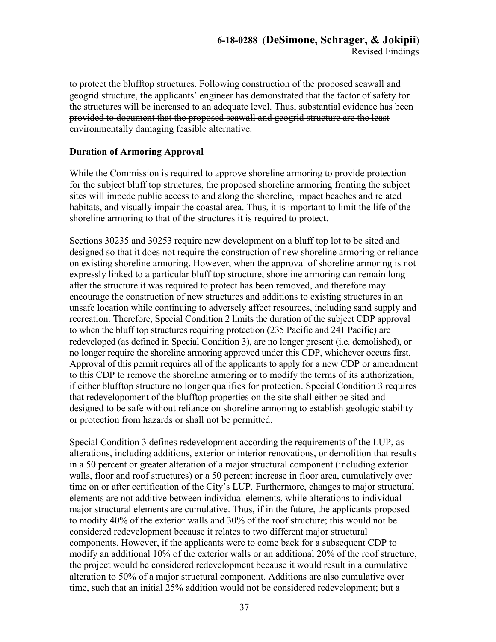to protect the blufftop structures. Following construction of the proposed seawall and geogrid structure, the applicants' engineer has demonstrated that the factor of safety for the structures will be increased to an adequate level. Thus, substantial evidence has been provided to document that the proposed seawall and geogrid structure are the least environmentally damaging feasible alternative.

# **Duration of Armoring Approval**

While the Commission is required to approve shoreline armoring to provide protection for the subject bluff top structures, the proposed shoreline armoring fronting the subject sites will impede public access to and along the shoreline, impact beaches and related habitats, and visually impair the coastal area. Thus, it is important to limit the life of the shoreline armoring to that of the structures it is required to protect.

Sections 30235 and 30253 require new development on a bluff top lot to be sited and designed so that it does not require the construction of new shoreline armoring or reliance on existing shoreline armoring. However, when the approval of shoreline armoring is not expressly linked to a particular bluff top structure, shoreline armoring can remain long after the structure it was required to protect has been removed, and therefore may encourage the construction of new structures and additions to existing structures in an unsafe location while continuing to adversely affect resources, including sand supply and recreation. Therefore, Special Condition 2 limits the duration of the subject CDP approval to when the bluff top structures requiring protection (235 Pacific and 241 Pacific) are redeveloped (as defined in Special Condition 3), are no longer present (i.e. demolished), or no longer require the shoreline armoring approved under this CDP, whichever occurs first. Approval of this permit requires all of the applicants to apply for a new CDP or amendment to this CDP to remove the shoreline armoring or to modify the terms of its authorization, if either blufftop structure no longer qualifies for protection. Special Condition 3 requires that redevelopoment of the blufftop properties on the site shall either be sited and designed to be safe without reliance on shoreline armoring to establish geologic stability or protection from hazards or shall not be permitted.

Special Condition 3 defines redevelopment according the requirements of the LUP, as alterations, including additions, exterior or interior renovations, or demolition that results in a 50 percent or greater alteration of a major structural component (including exterior walls, floor and roof structures) or a 50 percent increase in floor area, cumulatively over time on or after certification of the City's LUP. Furthermore, changes to major structural elements are not additive between individual elements, while alterations to individual major structural elements are cumulative. Thus, if in the future, the applicants proposed to modify 40% of the exterior walls and 30% of the roof structure; this would not be considered redevelopment because it relates to two different major structural components. However, if the applicants were to come back for a subsequent CDP to modify an additional 10% of the exterior walls or an additional 20% of the roof structure, the project would be considered redevelopment because it would result in a cumulative alteration to 50% of a major structural component. Additions are also cumulative over time, such that an initial 25% addition would not be considered redevelopment; but a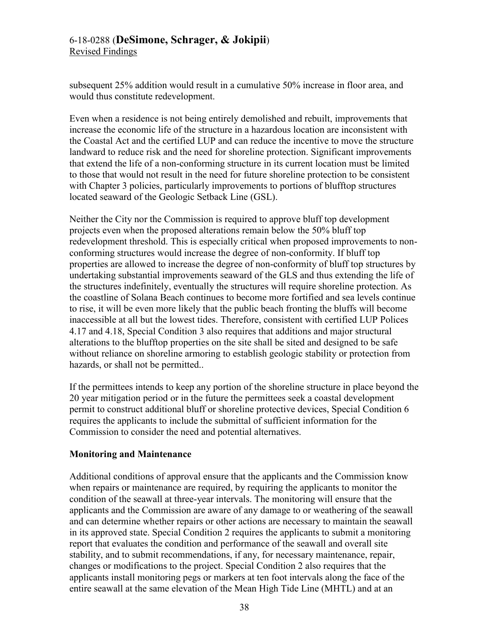# 6-18-0288 (**DeSimone, Schrager, & Jokipii**) Revised Findings

subsequent 25% addition would result in a cumulative 50% increase in floor area, and would thus constitute redevelopment.

Even when a residence is not being entirely demolished and rebuilt, improvements that increase the economic life of the structure in a hazardous location are inconsistent with the Coastal Act and the certified LUP and can reduce the incentive to move the structure landward to reduce risk and the need for shoreline protection. Significant improvements that extend the life of a non-conforming structure in its current location must be limited to those that would not result in the need for future shoreline protection to be consistent with Chapter 3 policies, particularly improvements to portions of blufftop structures located seaward of the Geologic Setback Line (GSL).

Neither the City nor the Commission is required to approve bluff top development projects even when the proposed alterations remain below the 50% bluff top redevelopment threshold. This is especially critical when proposed improvements to nonconforming structures would increase the degree of non-conformity. If bluff top properties are allowed to increase the degree of non-conformity of bluff top structures by undertaking substantial improvements seaward of the GLS and thus extending the life of the structures indefinitely, eventually the structures will require shoreline protection. As the coastline of Solana Beach continues to become more fortified and sea levels continue to rise, it will be even more likely that the public beach fronting the bluffs will become inaccessible at all but the lowest tides. Therefore, consistent with certified LUP Polices 4.17 and 4.18, Special Condition 3 also requires that additions and major structural alterations to the blufftop properties on the site shall be sited and designed to be safe without reliance on shoreline armoring to establish geologic stability or protection from hazards, or shall not be permitted...

If the permittees intends to keep any portion of the shoreline structure in place beyond the 20 year mitigation period or in the future the permittees seek a coastal development permit to construct additional bluff or shoreline protective devices, Special Condition 6 requires the applicants to include the submittal of sufficient information for the Commission to consider the need and potential alternatives.

# **Monitoring and Maintenance**

Additional conditions of approval ensure that the applicants and the Commission know when repairs or maintenance are required, by requiring the applicants to monitor the condition of the seawall at three-year intervals. The monitoring will ensure that the applicants and the Commission are aware of any damage to or weathering of the seawall and can determine whether repairs or other actions are necessary to maintain the seawall in its approved state. Special Condition 2 requires the applicants to submit a monitoring report that evaluates the condition and performance of the seawall and overall site stability, and to submit recommendations, if any, for necessary maintenance, repair, changes or modifications to the project. Special Condition 2 also requires that the applicants install monitoring pegs or markers at ten foot intervals along the face of the entire seawall at the same elevation of the Mean High Tide Line (MHTL) and at an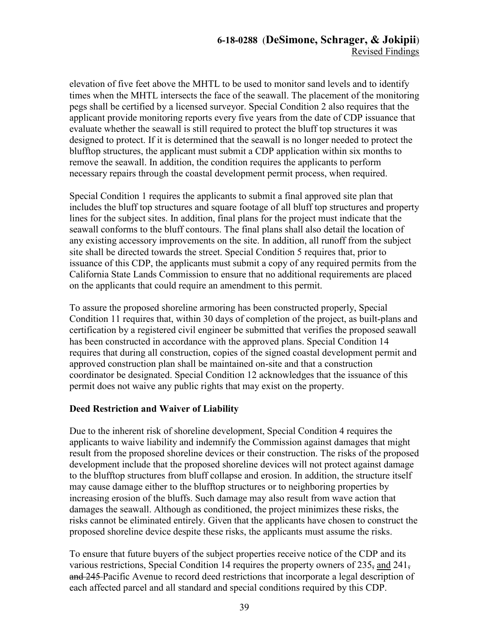elevation of five feet above the MHTL to be used to monitor sand levels and to identify times when the MHTL intersects the face of the seawall. The placement of the monitoring pegs shall be certified by a licensed surveyor. Special Condition 2 also requires that the applicant provide monitoring reports every five years from the date of CDP issuance that evaluate whether the seawall is still required to protect the bluff top structures it was designed to protect. If it is determined that the seawall is no longer needed to protect the blufftop structures, the applicant must submit a CDP application within six months to remove the seawall. In addition, the condition requires the applicants to perform necessary repairs through the coastal development permit process, when required.

Special Condition 1 requires the applicants to submit a final approved site plan that includes the bluff top structures and square footage of all bluff top structures and property lines for the subject sites. In addition, final plans for the project must indicate that the seawall conforms to the bluff contours. The final plans shall also detail the location of any existing accessory improvements on the site. In addition, all runoff from the subject site shall be directed towards the street. Special Condition 5 requires that, prior to issuance of this CDP, the applicants must submit a copy of any required permits from the California State Lands Commission to ensure that no additional requirements are placed on the applicants that could require an amendment to this permit.

To assure the proposed shoreline armoring has been constructed properly, Special Condition 11 requires that, within 30 days of completion of the project, as built-plans and certification by a registered civil engineer be submitted that verifies the proposed seawall has been constructed in accordance with the approved plans. Special Condition 14 requires that during all construction, copies of the signed coastal development permit and approved construction plan shall be maintained on-site and that a construction coordinator be designated. Special Condition 12 acknowledges that the issuance of this permit does not waive any public rights that may exist on the property.

# **Deed Restriction and Waiver of Liability**

Due to the inherent risk of shoreline development, Special Condition 4 requires the applicants to waive liability and indemnify the Commission against damages that might result from the proposed shoreline devices or their construction. The risks of the proposed development include that the proposed shoreline devices will not protect against damage to the blufftop structures from bluff collapse and erosion. In addition, the structure itself may cause damage either to the blufftop structures or to neighboring properties by increasing erosion of the bluffs. Such damage may also result from wave action that damages the seawall. Although as conditioned, the project minimizes these risks, the risks cannot be eliminated entirely. Given that the applicants have chosen to construct the proposed shoreline device despite these risks, the applicants must assume the risks.

To ensure that future buyers of the subject properties receive notice of the CDP and its various restrictions, Special Condition 14 requires the property owners of 235, and 241, and 245 Pacific Avenue to record deed restrictions that incorporate a legal description of each affected parcel and all standard and special conditions required by this CDP.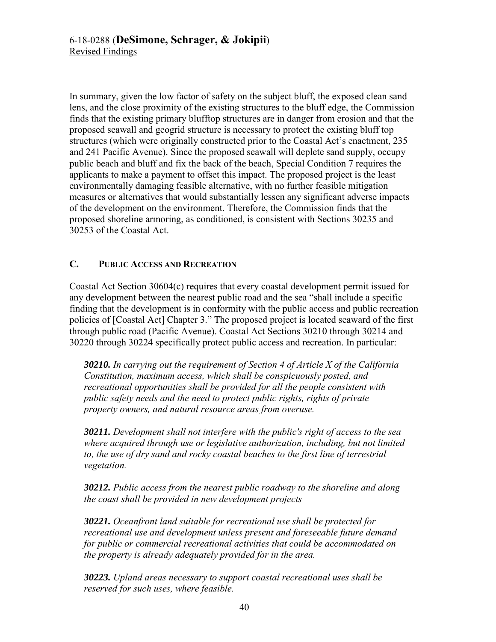In summary, given the low factor of safety on the subject bluff, the exposed clean sand lens, and the close proximity of the existing structures to the bluff edge, the Commission finds that the existing primary blufftop structures are in danger from erosion and that the proposed seawall and geogrid structure is necessary to protect the existing bluff top structures (which were originally constructed prior to the Coastal Act's enactment, 235 and 241 Pacific Avenue). Since the proposed seawall will deplete sand supply, occupy public beach and bluff and fix the back of the beach, Special Condition 7 requires the applicants to make a payment to offset this impact. The proposed project is the least environmentally damaging feasible alternative, with no further feasible mitigation measures or alternatives that would substantially lessen any significant adverse impacts of the development on the environment. Therefore, the Commission finds that the proposed shoreline armoring, as conditioned, is consistent with Sections 30235 and 30253 of the Coastal Act.

# <span id="page-39-0"></span>**C. PUBLIC ACCESS AND RECREATION**

Coastal Act Section 30604(c) requires that every coastal development permit issued for any development between the nearest public road and the sea "shall include a specific finding that the development is in conformity with the public access and public recreation policies of [Coastal Act] Chapter 3." The proposed project is located seaward of the first through public road (Pacific Avenue). Coastal Act Sections 30210 through 30214 and 30220 through 30224 specifically protect public access and recreation. In particular:

*30210. In carrying out the requirement of Section 4 of Article X of the California Constitution, maximum access, which shall be conspicuously posted, and recreational opportunities shall be provided for all the people consistent with public safety needs and the need to protect public rights, rights of private property owners, and natural resource areas from overuse.* 

*30211. Development shall not interfere with the public's right of access to the sea where acquired through use or legislative authorization, including, but not limited to, the use of dry sand and rocky coastal beaches to the first line of terrestrial vegetation.* 

*30212. Public access from the nearest public roadway to the shoreline and along the coast shall be provided in new development projects* 

*30221. Oceanfront land suitable for recreational use shall be protected for recreational use and development unless present and foreseeable future demand for public or commercial recreational activities that could be accommodated on the property is already adequately provided for in the area.* 

*30223. Upland areas necessary to support coastal recreational uses shall be reserved for such uses, where feasible.*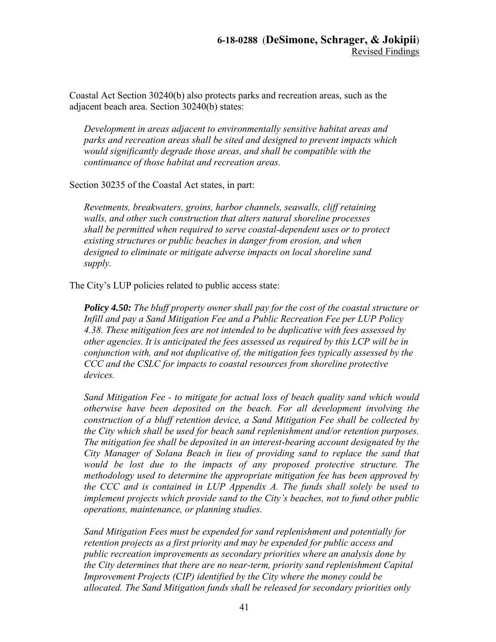Coastal Act Section 30240(b) also protects parks and recreation areas, such as the adjacent beach area. Section 30240(b) states:

*Development in areas adjacent to environmentally sensitive habitat areas and parks and recreation areas shall be sited and designed to prevent impacts which would significantly degrade those areas, and shall be compatible with the continuance of those habitat and recreation areas.* 

Section 30235 of the Coastal Act states, in part:

*Revetments, breakwaters, groins, harbor channels, seawalls, cliff retaining walls, and other such construction that alters natural shoreline processes shall be permitted when required to serve coastal-dependent uses or to protect existing structures or public beaches in danger from erosion, and when designed to eliminate or mitigate adverse impacts on local shoreline sand supply.* 

The City's LUP policies related to public access state:

*Policy 4.50: The bluff property owner shall pay for the cost of the coastal structure or Infill and pay a Sand Mitigation Fee and a Public Recreation Fee per LUP Policy 4.38. These mitigation fees are not intended to be duplicative with fees assessed by other agencies. It is anticipated the fees assessed as required by this LCP will be in conjunction with, and not duplicative of, the mitigation fees typically assessed by the CCC and the CSLC for impacts to coastal resources from shoreline protective devices.* 

*Sand Mitigation Fee - to mitigate for actual loss of beach quality sand which would otherwise have been deposited on the beach. For all development involving the construction of a bluff retention device, a Sand Mitigation Fee shall be collected by the City which shall be used for beach sand replenishment and/or retention purposes. The mitigation fee shall be deposited in an interest-bearing account designated by the City Manager of Solana Beach in lieu of providing sand to replace the sand that would be lost due to the impacts of any proposed protective structure. The methodology used to determine the appropriate mitigation fee has been approved by the CCC and is contained in LUP Appendix A. The funds shall solely be used to implement projects which provide sand to the City's beaches, not to fund other public operations, maintenance, or planning studies.* 

*Sand Mitigation Fees must be expended for sand replenishment and potentially for retention projects as a first priority and may be expended for public access and public recreation improvements as secondary priorities where an analysis done by the City determines that there are no near-term, priority sand replenishment Capital Improvement Projects (CIP) identified by the City where the money could be allocated. The Sand Mitigation funds shall be released for secondary priorities only*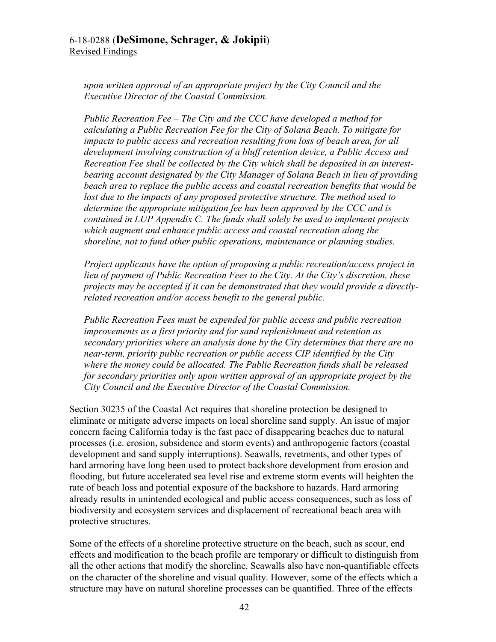*upon written approval of an appropriate project by the City Council and the Executive Director of the Coastal Commission.* 

*Public Recreation Fee – The City and the CCC have developed a method for calculating a Public Recreation Fee for the City of Solana Beach. To mitigate for impacts to public access and recreation resulting from loss of beach area, for all development involving construction of a bluff retention device, a Public Access and Recreation Fee shall be collected by the City which shall be deposited in an interestbearing account designated by the City Manager of Solana Beach in lieu of providing beach area to replace the public access and coastal recreation benefits that would be*  lost due to the impacts of any proposed protective structure. The method used to *determine the appropriate mitigation fee has been approved by the CCC and is contained in LUP Appendix C. The funds shall solely be used to implement projects which augment and enhance public access and coastal recreation along the shoreline, not to fund other public operations, maintenance or planning studies.* 

*Project applicants have the option of proposing a public recreation/access project in lieu of payment of Public Recreation Fees to the City. At the City's discretion, these projects may be accepted if it can be demonstrated that they would provide a directlyrelated recreation and/or access benefit to the general public.* 

*Public Recreation Fees must be expended for public access and public recreation improvements as a first priority and for sand replenishment and retention as secondary priorities where an analysis done by the City determines that there are no near-term, priority public recreation or public access CIP identified by the City where the money could be allocated. The Public Recreation funds shall be released for secondary priorities only upon written approval of an appropriate project by the City Council and the Executive Director of the Coastal Commission.* 

Section 30235 of the Coastal Act requires that shoreline protection be designed to eliminate or mitigate adverse impacts on local shoreline sand supply. An issue of major concern facing California today is the fast pace of disappearing beaches due to natural processes (i.e. erosion, subsidence and storm events) and anthropogenic factors (coastal development and sand supply interruptions). Seawalls, revetments, and other types of hard armoring have long been used to protect backshore development from erosion and flooding, but future accelerated sea level rise and extreme storm events will heighten the rate of beach loss and potential exposure of the backshore to hazards. Hard armoring already results in unintended ecological and public access consequences, such as loss of biodiversity and ecosystem services and displacement of recreational beach area with protective structures.

Some of the effects of a shoreline protective structure on the beach, such as scour, end effects and modification to the beach profile are temporary or difficult to distinguish from all the other actions that modify the shoreline. Seawalls also have non-quantifiable effects on the character of the shoreline and visual quality. However, some of the effects which a structure may have on natural shoreline processes can be quantified. Three of the effects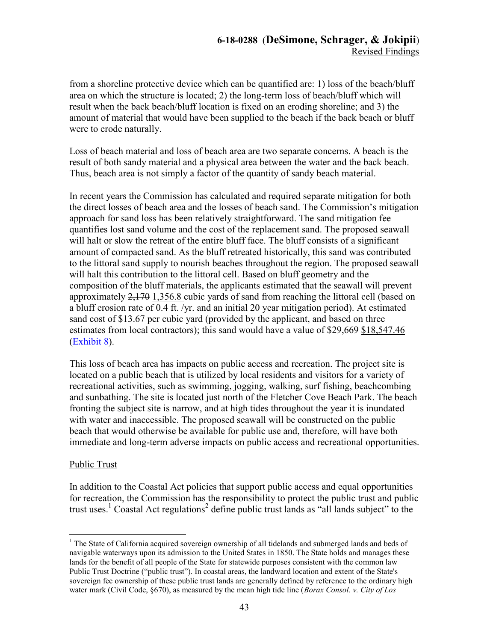from a shoreline protective device which can be quantified are: 1) loss of the beach/bluff area on which the structure is located; 2) the long-term loss of beach/bluff which will result when the back beach/bluff location is fixed on an eroding shoreline; and 3) the amount of material that would have been supplied to the beach if the back beach or bluff were to erode naturally.

Loss of beach material and loss of beach area are two separate concerns. A beach is the result of both sandy material and a physical area between the water and the back beach. Thus, beach area is not simply a factor of the quantity of sandy beach material.

In recent years the Commission has calculated and required separate mitigation for both the direct losses of beach area and the losses of beach sand. The Commission's mitigation approach for sand loss has been relatively straightforward. The sand mitigation fee quantifies lost sand volume and the cost of the replacement sand. The proposed seawall will halt or slow the retreat of the entire bluff face. The bluff consists of a significant amount of compacted sand. As the bluff retreated historically, this sand was contributed to the littoral sand supply to nourish beaches throughout the region. The proposed seawall will halt this contribution to the littoral cell. Based on bluff geometry and the composition of the bluff materials, the applicants estimated that the seawall will prevent approximately 2,170 1,356.8 cubic yards of sand from reaching the littoral cell (based on a bluff erosion rate of 0.4 ft. /yr. and an initial 20 year mitigation period). At estimated sand cost of \$13.67 per cubic yard (provided by the applicant, and based on three estimates from local contractors); this sand would have a value of \$29,669 \$18,547.46 [\(Exhibit 8\)](https://documents.coastal.ca.gov/reports/2019/9/w21a/w21a-9-2019-exhibits.pdf).

This loss of beach area has impacts on public access and recreation. The project site is located on a public beach that is utilized by local residents and visitors for a variety of recreational activities, such as swimming, jogging, walking, surf fishing, beachcombing and sunbathing. The site is located just north of the Fletcher Cove Beach Park. The beach fronting the subject site is narrow, and at high tides throughout the year it is inundated with water and inaccessible. The proposed seawall will be constructed on the public beach that would otherwise be available for public use and, therefore, will have both immediate and long-term adverse impacts on public access and recreational opportunities.

## Public Trust

In addition to the Coastal Act policies that support public access and equal opportunities for recreation, the Commission has the responsibility to protect the public trust and public trust uses.<sup>1</sup> Coastal Act regulations<sup>2</sup> define public trust lands as "all lands subject" to the

 $\overline{a}$ <sup>1</sup> The State of California acquired sovereign ownership of all tidelands and submerged lands and beds of navigable waterways upon its admission to the United States in 1850. The State holds and manages these lands for the benefit of all people of the State for statewide purposes consistent with the common law Public Trust Doctrine ("public trust"). In coastal areas, the landward location and extent of the State's sovereign fee ownership of these public trust lands are generally defined by reference to the ordinary high water mark (Civil Code, §670), as measured by the mean high tide line (*Borax Consol. v. City of Los*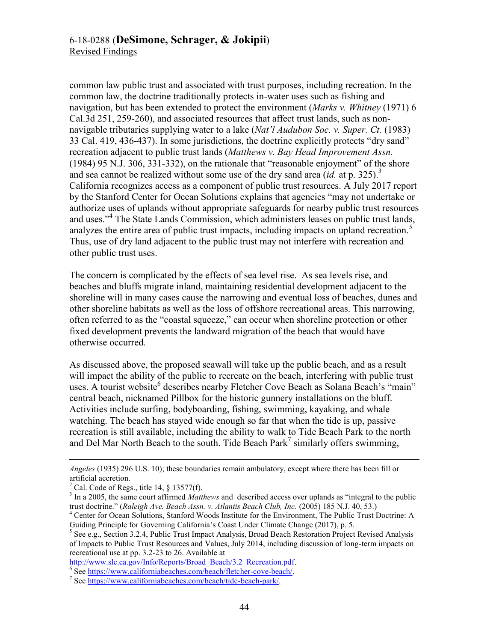common law public trust and associated with trust purposes, including recreation. In the common law, the doctrine traditionally protects in-water uses such as fishing and navigation, but has been extended to protect the environment (*Marks v. Whitney* (1971) 6 Cal.3d 251, 259-260), and associated resources that affect trust lands, such as nonnavigable tributaries supplying water to a lake (*Nat'l Audubon Soc. v. Super. Ct.* (1983) 33 Cal. 419, 436-437). In some jurisdictions, the doctrine explicitly protects "dry sand" recreation adjacent to public trust lands (*Matthews v. Bay Head Improvement Assn.*  (1984) 95 N.J. 306, 331-332), on the rationale that "reasonable enjoyment" of the shore and sea cannot be realized without some use of the dry sand area *(id.* at p. 325).<sup>3</sup> California recognizes access as a component of public trust resources. A July 2017 report by the Stanford Center for Ocean Solutions explains that agencies "may not undertake or authorize uses of uplands without appropriate safeguards for nearby public trust resources and uses."<sup>4</sup> The State Lands Commission, which administers leases on public trust lands, analyzes the entire area of public trust impacts, including impacts on upland recreation.<sup>5</sup> Thus, use of dry land adjacent to the public trust may not interfere with recreation and other public trust uses.

The concern is complicated by the effects of sea level rise. As sea levels rise, and beaches and bluffs migrate inland, maintaining residential development adjacent to the shoreline will in many cases cause the narrowing and eventual loss of beaches, dunes and other shoreline habitats as well as the loss of offshore recreational areas. This narrowing, often referred to as the "coastal squeeze," can occur when shoreline protection or other fixed development prevents the landward migration of the beach that would have otherwise occurred.

As discussed above, the proposed seawall will take up the public beach, and as a result will impact the ability of the public to recreate on the beach, interfering with public trust uses. A tourist website<sup>6</sup> describes nearby Fletcher Cove Beach as Solana Beach's "main" central beach, nicknamed Pillbox for the historic gunnery installations on the bluff. Activities include surfing, bodyboarding, fishing, swimming, kayaking, and whale watching. The beach has stayed wide enough so far that when the tide is up, passive recreation is still available, including the ability to walk to Tide Beach Park to the north and Del Mar North Beach to the south. Tide Beach Park<sup>7</sup> similarly offers swimming,

 $\overline{a}$ 

[http://www.slc.ca.gov/Info/Reports/Broad\\_Beach/3.2\\_Recreation.pdf.](http://www.slc.ca.gov/Info/Reports/Broad_Beach/3.2_Recreation.pdf)

*Angeles* (1935) 296 U.S. 10); these boundaries remain ambulatory, except where there has been fill or artificial accretion.

<sup>&</sup>lt;sup>2</sup> Cal. Code of Regs., title 14,  $\S$  13577(f).

<sup>&</sup>lt;sup>3</sup> In a 2005, the same court affirmed *Matthews* and described access over uplands as "integral to the public trust doctrine." (*Raleigh Ave. Beach Assn. v. Atlantis Beach Club, Inc.* (2005) 185 N.J. 40, 53.)

<sup>4</sup> Center for Ocean Solutions, Stanford Woods Institute for the Environment, The Public Trust Doctrine: A Guiding Principle for Governing California's Coast Under Climate Change (2017), p. 5.

<sup>&</sup>lt;sup>5</sup> See e.g., Section 3.2.4, Public Trust Impact Analysis, Broad Beach Restoration Project Revised Analysis of Impacts to Public Trust Resources and Values, July 2014, including discussion of long-term impacts on recreational use at pp. 3.2-23 to 26. Available at

<sup>&</sup>lt;sup>6</sup> See [https://www.californiabeaches.com/beach/fletcher-cove-beach/.](https://www.californiabeaches.com/beach/fletcher-cove-beach/)

<sup>&</sup>lt;sup>7</sup> See https://www.californiabeaches.com/beach/tide-beach-park/.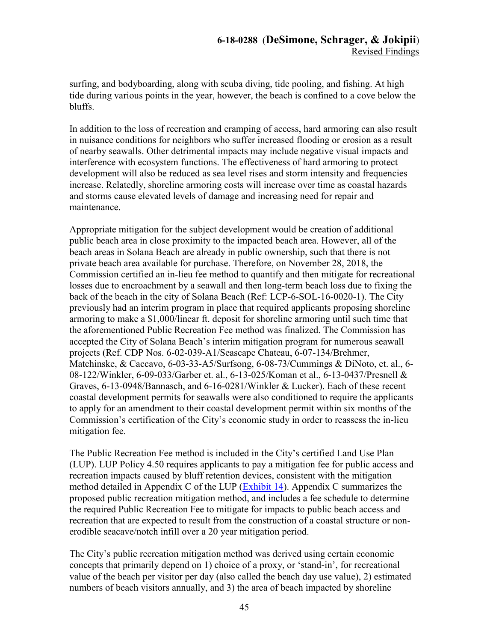surfing, and bodyboarding, along with scuba diving, tide pooling, and fishing. At high tide during various points in the year, however, the beach is confined to a cove below the bluffs.

In addition to the loss of recreation and cramping of access, hard armoring can also result in nuisance conditions for neighbors who suffer increased flooding or erosion as a result of nearby seawalls. Other detrimental impacts may include negative visual impacts and interference with ecosystem functions. The effectiveness of hard armoring to protect development will also be reduced as sea level rises and storm intensity and frequencies increase. Relatedly, shoreline armoring costs will increase over time as coastal hazards and storms cause elevated levels of damage and increasing need for repair and maintenance.

Appropriate mitigation for the subject development would be creation of additional public beach area in close proximity to the impacted beach area. However, all of the beach areas in Solana Beach are already in public ownership, such that there is not private beach area available for purchase. Therefore, on November 28, 2018, the Commission certified an in-lieu fee method to quantify and then mitigate for recreational losses due to encroachment by a seawall and then long-term beach loss due to fixing the back of the beach in the city of Solana Beach (Ref: LCP-6-SOL-16-0020-1). The City previously had an interim program in place that required applicants proposing shoreline armoring to make a \$1,000/linear ft. deposit for shoreline armoring until such time that the aforementioned Public Recreation Fee method was finalized. The Commission has accepted the City of Solana Beach's interim mitigation program for numerous seawall projects (Ref. CDP Nos. 6-02-039-A1/Seascape Chateau, 6-07-134/Brehmer, Matchinske, & Caccavo, 6-03-33-A5/Surfsong, 6-08-73/Cummings & DiNoto, et. al., 6- 08-122/Winkler, 6-09-033/Garber et. al., 6-13-025/Koman et al., 6-13-0437/Presnell & Graves, 6-13-0948/Bannasch, and 6-16-0281/Winkler & Lucker). Each of these recent coastal development permits for seawalls were also conditioned to require the applicants to apply for an amendment to their coastal development permit within six months of the Commission's certification of the City's economic study in order to reassess the in-lieu mitigation fee.

The Public Recreation Fee method is included in the City's certified Land Use Plan (LUP). LUP Policy 4.50 requires applicants to pay a mitigation fee for public access and recreation impacts caused by bluff retention devices, consistent with the mitigation method detailed in Appendix C of the LUP [\(Exhibit 14\)](https://documents.coastal.ca.gov/reports/2019/9/w21a/w21a-9-2019-exhibits.pdf). Appendix C summarizes the proposed public recreation mitigation method, and includes a fee schedule to determine the required Public Recreation Fee to mitigate for impacts to public beach access and recreation that are expected to result from the construction of a coastal structure or nonerodible seacave/notch infill over a 20 year mitigation period.

The City's public recreation mitigation method was derived using certain economic concepts that primarily depend on 1) choice of a proxy, or 'stand-in', for recreational value of the beach per visitor per day (also called the beach day use value), 2) estimated numbers of beach visitors annually, and 3) the area of beach impacted by shoreline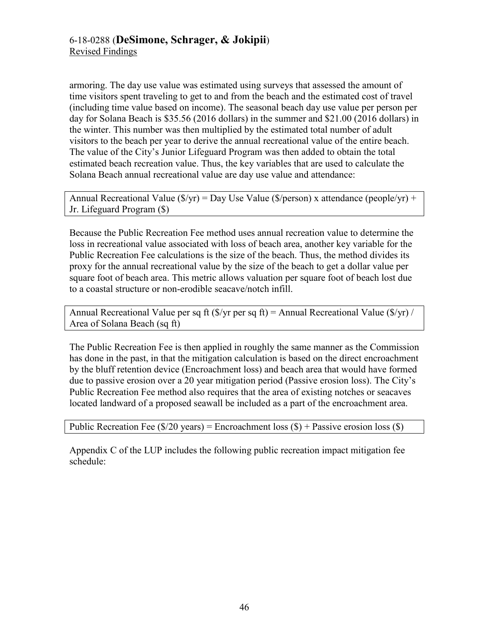armoring. The day use value was estimated using surveys that assessed the amount of time visitors spent traveling to get to and from the beach and the estimated cost of travel (including time value based on income). The seasonal beach day use value per person per day for Solana Beach is \$35.56 (2016 dollars) in the summer and \$21.00 (2016 dollars) in the winter. This number was then multiplied by the estimated total number of adult visitors to the beach per year to derive the annual recreational value of the entire beach. The value of the City's Junior Lifeguard Program was then added to obtain the total estimated beach recreation value. Thus, the key variables that are used to calculate the Solana Beach annual recreational value are day use value and attendance:

Annual Recreational Value ( $\sqrt{s}$ /yr) = Day Use Value ( $\sqrt{s}$ /person) x attendance (people/yr) + Jr. Lifeguard Program (\$)

Because the Public Recreation Fee method uses annual recreation value to determine the loss in recreational value associated with loss of beach area, another key variable for the Public Recreation Fee calculations is the size of the beach. Thus, the method divides its proxy for the annual recreational value by the size of the beach to get a dollar value per square foot of beach area. This metric allows valuation per square foot of beach lost due to a coastal structure or non-erodible seacave/notch infill.

Annual Recreational Value per sq ft ( $\sqrt{s}$ /yr per sq ft) = Annual Recreational Value ( $\sqrt{s}$ /yr) / Area of Solana Beach (sq ft)

The Public Recreation Fee is then applied in roughly the same manner as the Commission has done in the past, in that the mitigation calculation is based on the direct encroachment by the bluff retention device (Encroachment loss) and beach area that would have formed due to passive erosion over a 20 year mitigation period (Passive erosion loss). The City's Public Recreation Fee method also requires that the area of existing notches or seacaves located landward of a proposed seawall be included as a part of the encroachment area.

```
Public Recreation Fee (\frac{20 \text{ years}}{20 \text{ years}}) = Encroachment loss (\text{S}) + Passive erosion loss (\text{S})
```
Appendix C of the LUP includes the following public recreation impact mitigation fee schedule: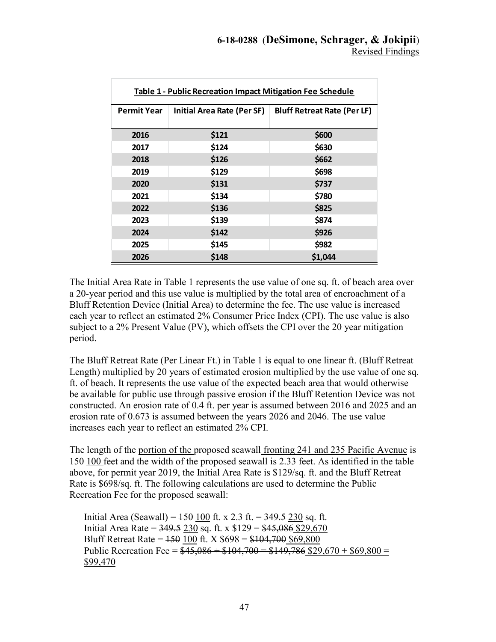| Table 1 - Public Recreation Impact Mitigation Fee Schedule |                                   |                                    |  |  |
|------------------------------------------------------------|-----------------------------------|------------------------------------|--|--|
| <b>Permit Year</b>                                         | <b>Initial Area Rate (Per SF)</b> | <b>Bluff Retreat Rate (Per LF)</b> |  |  |
| 2016                                                       | \$121                             | \$600                              |  |  |
| 2017                                                       | \$124                             | \$630                              |  |  |
| 2018                                                       | \$126                             | \$662                              |  |  |
| 2019                                                       | \$129                             | \$698                              |  |  |
| 2020                                                       | \$131                             | \$737                              |  |  |
| 2021                                                       | \$134                             | \$780                              |  |  |
| 2022                                                       | \$136                             | \$825                              |  |  |
| 2023                                                       | \$139                             | \$874                              |  |  |
| 2024                                                       | \$142                             | \$926                              |  |  |
| 2025                                                       | \$145                             | \$982                              |  |  |
| 2026                                                       | \$148                             | \$1,044                            |  |  |

The Initial Area Rate in Table 1 represents the use value of one sq. ft. of beach area over a 20-year period and this use value is multiplied by the total area of encroachment of a Bluff Retention Device (Initial Area) to determine the fee. The use value is increased each year to reflect an estimated 2% Consumer Price Index (CPI). The use value is also subject to a 2% Present Value (PV), which offsets the CPI over the 20 year mitigation period.

The Bluff Retreat Rate (Per Linear Ft.) in Table 1 is equal to one linear ft. (Bluff Retreat Length) multiplied by 20 years of estimated erosion multiplied by the use value of one sq. ft. of beach. It represents the use value of the expected beach area that would otherwise be available for public use through passive erosion if the Bluff Retention Device was not constructed. An erosion rate of 0.4 ft. per year is assumed between 2016 and 2025 and an erosion rate of 0.673 is assumed between the years 2026 and 2046. The use value increases each year to reflect an estimated 2% CPI.

The length of the portion of the proposed seawall fronting 241 and 235 Pacific Avenue is 150 100 feet and the width of the proposed seawall is 2.33 feet. As identified in the table above, for permit year 2019, the Initial Area Rate is \$129/sq. ft. and the Bluff Retreat Rate is \$698/sq. ft. The following calculations are used to determine the Public Recreation Fee for the proposed seawall:

Initial Area (Seawall) =  $150$  100 ft. x 2.3 ft. =  $349.5$  230 sq. ft. Initial Area Rate =  $349.5$  230 sq. ft. x \$129 =  $45,086$  \$29,670 Bluff Retreat Rate =  $150100$  ft. X  $698 = $104,700$  \$69,800 Public Recreation Fee =  $$45,086 + $104,700 = $149,786 $29,670 + $69,800 =$ \$99,470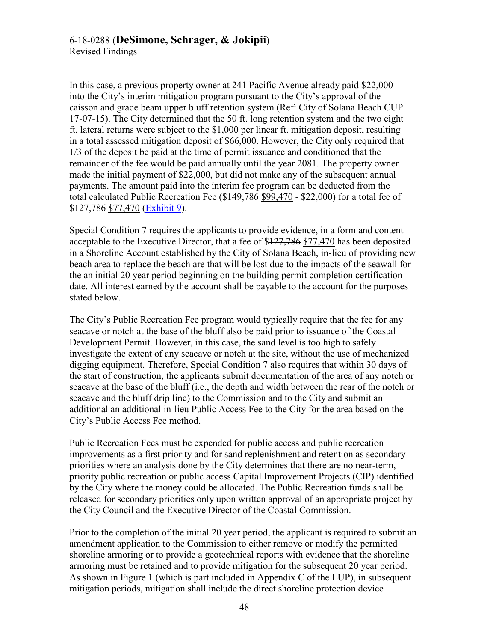In this case, a previous property owner at 241 Pacific Avenue already paid \$22,000 into the City's interim mitigation program pursuant to the City's approval of the caisson and grade beam upper bluff retention system (Ref: City of Solana Beach CUP 17-07-15). The City determined that the 50 ft. long retention system and the two eight ft. lateral returns were subject to the \$1,000 per linear ft. mitigation deposit, resulting in a total assessed mitigation deposit of \$66,000. However, the City only required that 1/3 of the deposit be paid at the time of permit issuance and conditioned that the remainder of the fee would be paid annually until the year 2081. The property owner made the initial payment of \$22,000, but did not make any of the subsequent annual payments. The amount paid into the interim fee program can be deducted from the total calculated Public Recreation Fee (\$149,786 \$99,470 - \$22,000) for a total fee of \$127,786 \$77,470 [\(Exhibit 9\)](https://documents.coastal.ca.gov/reports/2019/9/w21a/w21a-9-2019-exhibits.pdf).

Special Condition 7 requires the applicants to provide evidence, in a form and content acceptable to the Executive Director, that a fee of \$127,786 \$77,470 has been deposited in a Shoreline Account established by the City of Solana Beach, in-lieu of providing new beach area to replace the beach are that will be lost due to the impacts of the seawall for the an initial 20 year period beginning on the building permit completion certification date. All interest earned by the account shall be payable to the account for the purposes stated below.

The City's Public Recreation Fee program would typically require that the fee for any seacave or notch at the base of the bluff also be paid prior to issuance of the Coastal Development Permit. However, in this case, the sand level is too high to safely investigate the extent of any seacave or notch at the site, without the use of mechanized digging equipment. Therefore, Special Condition 7 also requires that within 30 days of the start of construction, the applicants submit documentation of the area of any notch or seacave at the base of the bluff (i.e., the depth and width between the rear of the notch or seacave and the bluff drip line) to the Commission and to the City and submit an additional an additional in-lieu Public Access Fee to the City for the area based on the City's Public Access Fee method.

Public Recreation Fees must be expended for public access and public recreation improvements as a first priority and for sand replenishment and retention as secondary priorities where an analysis done by the City determines that there are no near-term, priority public recreation or public access Capital Improvement Projects (CIP) identified by the City where the money could be allocated. The Public Recreation funds shall be released for secondary priorities only upon written approval of an appropriate project by the City Council and the Executive Director of the Coastal Commission.

Prior to the completion of the initial 20 year period, the applicant is required to submit an amendment application to the Commission to either remove or modify the permitted shoreline armoring or to provide a geotechnical reports with evidence that the shoreline armoring must be retained and to provide mitigation for the subsequent 20 year period. As shown in Figure 1 (which is part included in Appendix C of the LUP), in subsequent mitigation periods, mitigation shall include the direct shoreline protection device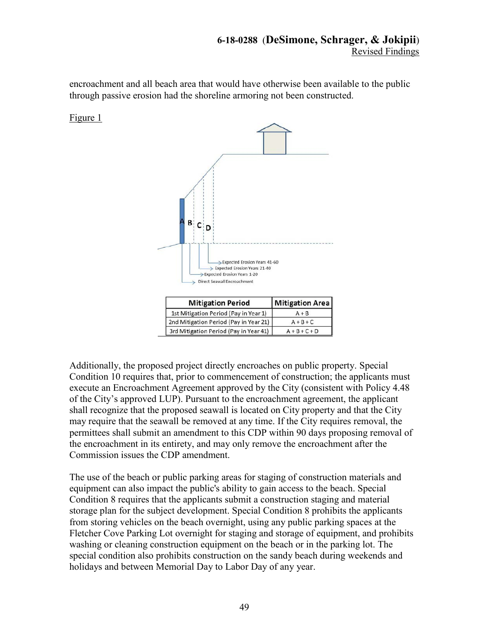encroachment and all beach area that would have otherwise been available to the public through passive erosion had the shoreline armoring not been constructed.

Figure 1



Additionally, the proposed project directly encroaches on public property. Special Condition 10 requires that, prior to commencement of construction; the applicants must execute an Encroachment Agreement approved by the City (consistent with Policy 4.48 of the City's approved LUP). Pursuant to the encroachment agreement, the applicant shall recognize that the proposed seawall is located on City property and that the City may require that the seawall be removed at any time. If the City requires removal, the permittees shall submit an amendment to this CDP within 90 days proposing removal of the encroachment in its entirety, and may only remove the encroachment after the Commission issues the CDP amendment.

The use of the beach or public parking areas for staging of construction materials and equipment can also impact the public's ability to gain access to the beach. Special Condition 8 requires that the applicants submit a construction staging and material storage plan for the subject development. Special Condition 8 prohibits the applicants from storing vehicles on the beach overnight, using any public parking spaces at the Fletcher Cove Parking Lot overnight for staging and storage of equipment, and prohibits washing or cleaning construction equipment on the beach or in the parking lot. The special condition also prohibits construction on the sandy beach during weekends and holidays and between Memorial Day to Labor Day of any year.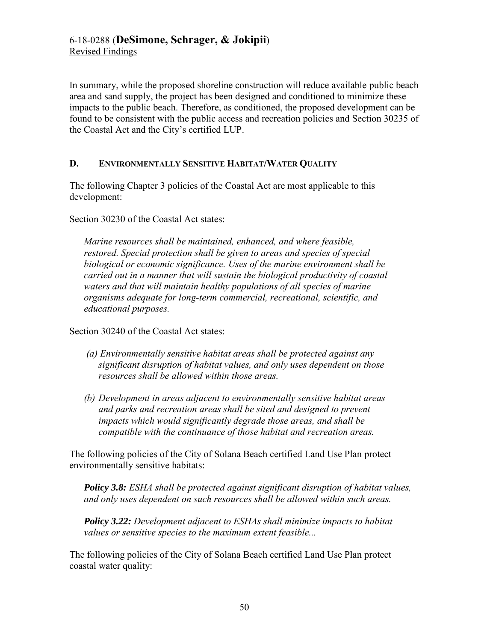In summary, while the proposed shoreline construction will reduce available public beach area and sand supply, the project has been designed and conditioned to minimize these impacts to the public beach. Therefore, as conditioned, the proposed development can be found to be consistent with the public access and recreation policies and Section 30235 of the Coastal Act and the City's certified LUP.

# <span id="page-49-0"></span>**D. ENVIRONMENTALLY SENSITIVE HABITAT/WATER QUALITY**

The following Chapter 3 policies of the Coastal Act are most applicable to this development:

Section 30230 of the Coastal Act states:

*Marine resources shall be maintained, enhanced, and where feasible, restored. Special protection shall be given to areas and species of special biological or economic significance. Uses of the marine environment shall be carried out in a manner that will sustain the biological productivity of coastal waters and that will maintain healthy populations of all species of marine organisms adequate for long-term commercial, recreational, scientific, and educational purposes.* 

Section 30240 of the Coastal Act states:

- *(a) Environmentally sensitive habitat areas shall be protected against any significant disruption of habitat values, and only uses dependent on those resources shall be allowed within those areas.*
- *(b) Development in areas adjacent to environmentally sensitive habitat areas and parks and recreation areas shall be sited and designed to prevent impacts which would significantly degrade those areas, and shall be compatible with the continuance of those habitat and recreation areas.*

The following policies of the City of Solana Beach certified Land Use Plan protect environmentally sensitive habitats:

*Policy 3.8: ESHA shall be protected against significant disruption of habitat values, and only uses dependent on such resources shall be allowed within such areas.* 

*Policy 3.22: Development adjacent to ESHAs shall minimize impacts to habitat values or sensitive species to the maximum extent feasible...* 

The following policies of the City of Solana Beach certified Land Use Plan protect coastal water quality: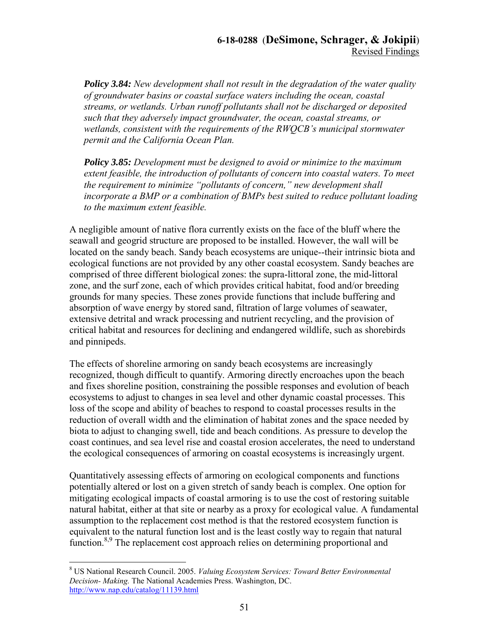*Policy 3.84: New development shall not result in the degradation of the water quality of groundwater basins or coastal surface waters including the ocean, coastal streams, or wetlands. Urban runoff pollutants shall not be discharged or deposited such that they adversely impact groundwater, the ocean, coastal streams, or wetlands, consistent with the requirements of the RWQCB's municipal stormwater permit and the California Ocean Plan.* 

*Policy 3.85: Development must be designed to avoid or minimize to the maximum extent feasible, the introduction of pollutants of concern into coastal waters. To meet the requirement to minimize "pollutants of concern," new development shall incorporate a BMP or a combination of BMPs best suited to reduce pollutant loading to the maximum extent feasible.* 

A negligible amount of native flora currently exists on the face of the bluff where the seawall and geogrid structure are proposed to be installed. However, the wall will be located on the sandy beach. Sandy beach ecosystems are unique--their intrinsic biota and ecological functions are not provided by any other coastal ecosystem. Sandy beaches are comprised of three different biological zones: the supra-littoral zone, the mid-littoral zone, and the surf zone, each of which provides critical habitat, food and/or breeding grounds for many species. These zones provide functions that include buffering and absorption of wave energy by stored sand, filtration of large volumes of seawater, extensive detrital and wrack processing and nutrient recycling, and the provision of critical habitat and resources for declining and endangered wildlife, such as shorebirds and pinnipeds.

The effects of shoreline armoring on sandy beach ecosystems are increasingly recognized, though difficult to quantify. Armoring directly encroaches upon the beach and fixes shoreline position, constraining the possible responses and evolution of beach ecosystems to adjust to changes in sea level and other dynamic coastal processes. This loss of the scope and ability of beaches to respond to coastal processes results in the reduction of overall width and the elimination of habitat zones and the space needed by biota to adjust to changing swell, tide and beach conditions. As pressure to develop the coast continues, and sea level rise and coastal erosion accelerates, the need to understand the ecological consequences of armoring on coastal ecosystems is increasingly urgent.

Quantitatively assessing effects of armoring on ecological components and functions potentially altered or lost on a given stretch of sandy beach is complex. One option for mitigating ecological impacts of coastal armoring is to use the cost of restoring suitable natural habitat, either at that site or nearby as a proxy for ecological value. A fundamental assumption to the replacement cost method is that the restored ecosystem function is equivalent to the natural function lost and is the least costly way to regain that natural function.<sup>8,9</sup> The replacement cost approach relies on determining proportional and

 $\overline{a}$ 8 US National Research Council. 2005. *Valuing Ecosystem Services: Toward Better Environmental Decision- Making.* The National Academies Press. Washington, DC. <http://www.nap.edu/catalog/11139.html>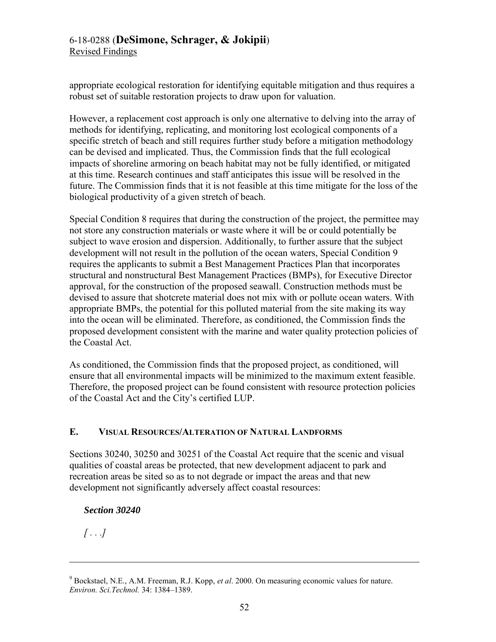appropriate ecological restoration for identifying equitable mitigation and thus requires a robust set of suitable restoration projects to draw upon for valuation.

However, a replacement cost approach is only one alternative to delving into the array of methods for identifying, replicating, and monitoring lost ecological components of a specific stretch of beach and still requires further study before a mitigation methodology can be devised and implicated. Thus, the Commission finds that the full ecological impacts of shoreline armoring on beach habitat may not be fully identified, or mitigated at this time. Research continues and staff anticipates this issue will be resolved in the future. The Commission finds that it is not feasible at this time mitigate for the loss of the biological productivity of a given stretch of beach.

Special Condition 8 requires that during the construction of the project, the permittee may not store any construction materials or waste where it will be or could potentially be subject to wave erosion and dispersion. Additionally, to further assure that the subject development will not result in the pollution of the ocean waters, Special Condition 9 requires the applicants to submit a Best Management Practices Plan that incorporates structural and nonstructural Best Management Practices (BMPs), for Executive Director approval, for the construction of the proposed seawall. Construction methods must be devised to assure that shotcrete material does not mix with or pollute ocean waters. With appropriate BMPs, the potential for this polluted material from the site making its way into the ocean will be eliminated. Therefore, as conditioned, the Commission finds the proposed development consistent with the marine and water quality protection policies of the Coastal Act.

As conditioned, the Commission finds that the proposed project, as conditioned, will ensure that all environmental impacts will be minimized to the maximum extent feasible. Therefore, the proposed project can be found consistent with resource protection policies of the Coastal Act and the City's certified LUP.

# <span id="page-51-0"></span>**E. VISUAL RESOURCES/ALTERATION OF NATURAL LANDFORMS**

Sections 30240, 30250 and 30251 of the Coastal Act require that the scenic and visual qualities of coastal areas be protected, that new development adjacent to park and recreation areas be sited so as to not degrade or impact the areas and that new development not significantly adversely affect coastal resources:

# *Section 30240*

*[ . . .]*

 $\overline{a}$ 

<sup>9</sup> Bockstael, N.E., A.M. Freeman, R.J. Kopp, *et al*. 2000. On measuring economic values for nature. *Environ. Sci.Technol.* 34: 1384–1389.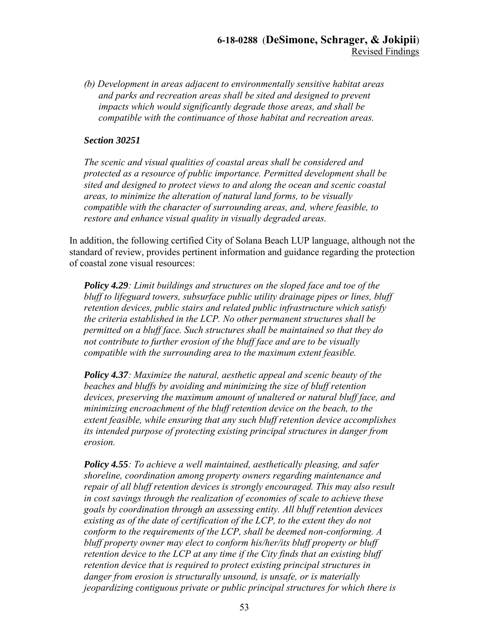*(b) Development in areas adjacent to environmentally sensitive habitat areas and parks and recreation areas shall be sited and designed to prevent impacts which would significantly degrade those areas, and shall be compatible with the continuance of those habitat and recreation areas.* 

#### *Section 30251*

*The scenic and visual qualities of coastal areas shall be considered and protected as a resource of public importance. Permitted development shall be sited and designed to protect views to and along the ocean and scenic coastal areas, to minimize the alteration of natural land forms, to be visually compatible with the character of surrounding areas, and, where feasible, to restore and enhance visual quality in visually degraded areas.* 

In addition, the following certified City of Solana Beach LUP language, although not the standard of review, provides pertinent information and guidance regarding the protection of coastal zone visual resources:

*Policy 4.29: Limit buildings and structures on the sloped face and toe of the bluff to lifeguard towers, subsurface public utility drainage pipes or lines, bluff retention devices, public stairs and related public infrastructure which satisfy the criteria established in the LCP. No other permanent structures shall be permitted on a bluff face. Such structures shall be maintained so that they do not contribute to further erosion of the bluff face and are to be visually compatible with the surrounding area to the maximum extent feasible.* 

*Policy 4.37: Maximize the natural, aesthetic appeal and scenic beauty of the beaches and bluffs by avoiding and minimizing the size of bluff retention devices, preserving the maximum amount of unaltered or natural bluff face, and minimizing encroachment of the bluff retention device on the beach, to the extent feasible, while ensuring that any such bluff retention device accomplishes its intended purpose of protecting existing principal structures in danger from erosion.* 

*Policy 4.55: To achieve a well maintained, aesthetically pleasing, and safer shoreline, coordination among property owners regarding maintenance and repair of all bluff retention devices is strongly encouraged. This may also result in cost savings through the realization of economies of scale to achieve these goals by coordination through an assessing entity. All bluff retention devices existing as of the date of certification of the LCP, to the extent they do not conform to the requirements of the LCP, shall be deemed non-conforming. A bluff property owner may elect to conform his/her/its bluff property or bluff retention device to the LCP at any time if the City finds that an existing bluff retention device that is required to protect existing principal structures in danger from erosion is structurally unsound, is unsafe, or is materially jeopardizing contiguous private or public principal structures for which there is*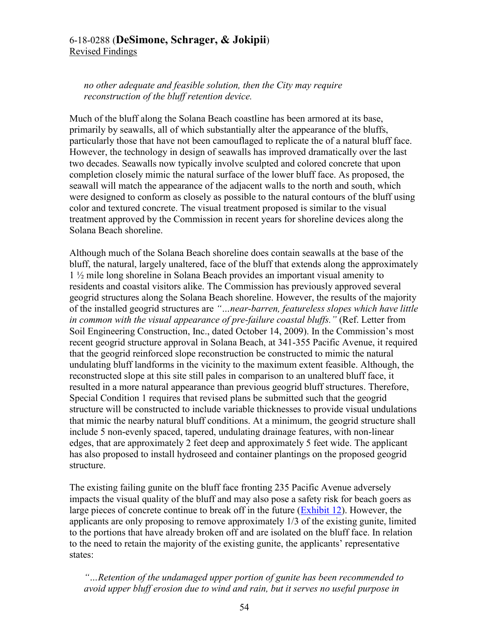# 6-18-0288 (**DeSimone, Schrager, & Jokipii**) Revised Findings

*no other adequate and feasible solution, then the City may require reconstruction of the bluff retention device.* 

Much of the bluff along the Solana Beach coastline has been armored at its base, primarily by seawalls, all of which substantially alter the appearance of the bluffs, particularly those that have not been camouflaged to replicate the of a natural bluff face. However, the technology in design of seawalls has improved dramatically over the last two decades. Seawalls now typically involve sculpted and colored concrete that upon completion closely mimic the natural surface of the lower bluff face. As proposed, the seawall will match the appearance of the adjacent walls to the north and south, which were designed to conform as closely as possible to the natural contours of the bluff using color and textured concrete. The visual treatment proposed is similar to the visual treatment approved by the Commission in recent years for shoreline devices along the Solana Beach shoreline.

Although much of the Solana Beach shoreline does contain seawalls at the base of the bluff, the natural, largely unaltered, face of the bluff that extends along the approximately 1 ½ mile long shoreline in Solana Beach provides an important visual amenity to residents and coastal visitors alike. The Commission has previously approved several geogrid structures along the Solana Beach shoreline. However, the results of the majority of the installed geogrid structures are *"…near-barren, featureless slopes which have little in common with the visual appearance of pre-failure coastal bluffs."* (Ref. Letter from Soil Engineering Construction, Inc., dated October 14, 2009). In the Commission's most recent geogrid structure approval in Solana Beach, at 341-355 Pacific Avenue, it required that the geogrid reinforced slope reconstruction be constructed to mimic the natural undulating bluff landforms in the vicinity to the maximum extent feasible. Although, the reconstructed slope at this site still pales in comparison to an unaltered bluff face, it resulted in a more natural appearance than previous geogrid bluff structures. Therefore, Special Condition 1 requires that revised plans be submitted such that the geogrid structure will be constructed to include variable thicknesses to provide visual undulations that mimic the nearby natural bluff conditions. At a minimum, the geogrid structure shall include 5 non-evenly spaced, tapered, undulating drainage features, with non-linear edges, that are approximately 2 feet deep and approximately 5 feet wide. The applicant has also proposed to install hydroseed and container plantings on the proposed geogrid structure.

The existing failing gunite on the bluff face fronting 235 Pacific Avenue adversely impacts the visual quality of the bluff and may also pose a safety risk for beach goers as large pieces of concrete continue to break off in the future [\(Exhibit 12\)](https://documents.coastal.ca.gov/reports/2019/9/w21a/w21a-9-2019-exhibits.pdf). However, the applicants are only proposing to remove approximately 1/3 of the existing gunite, limited to the portions that have already broken off and are isolated on the bluff face. In relation to the need to retain the majority of the existing gunite, the applicants' representative states:

*"…Retention of the undamaged upper portion of gunite has been recommended to avoid upper bluff erosion due to wind and rain, but it serves no useful purpose in*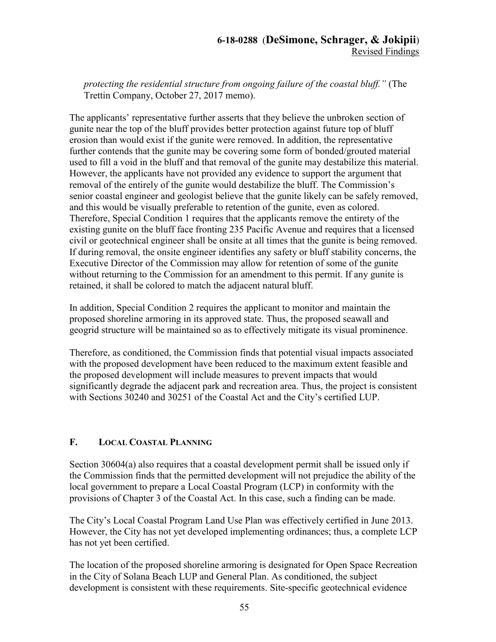*protecting the residential structure from ongoing failure of the coastal bluff."* (The Trettin Company, October 27, 2017 memo).

The applicants' representative further asserts that they believe the unbroken section of gunite near the top of the bluff provides better protection against future top of bluff erosion than would exist if the gunite were removed. In addition, the representative further contends that the gunite may be covering some form of bonded/grouted material used to fill a void in the bluff and that removal of the gunite may destabilize this material. However, the applicants have not provided any evidence to support the argument that removal of the entirely of the gunite would destabilize the bluff. The Commission's senior coastal engineer and geologist believe that the gunite likely can be safely removed, and this would be visually preferable to retention of the gunite, even as colored. Therefore, Special Condition 1 requires that the applicants remove the entirety of the existing gunite on the bluff face fronting 235 Pacific Avenue and requires that a licensed civil or geotechnical engineer shall be onsite at all times that the gunite is being removed. If during removal, the onsite engineer identifies any safety or bluff stability concerns, the Executive Director of the Commission may allow for retention of some of the gunite without returning to the Commission for an amendment to this permit. If any gunite is retained, it shall be colored to match the adjacent natural bluff.

In addition, Special Condition 2 requires the applicant to monitor and maintain the proposed shoreline armoring in its approved state. Thus, the proposed seawall and geogrid structure will be maintained so as to effectively mitigate its visual prominence.

Therefore, as conditioned, the Commission finds that potential visual impacts associated with the proposed development have been reduced to the maximum extent feasible and the proposed development will include measures to prevent impacts that would significantly degrade the adjacent park and recreation area. Thus, the project is consistent with Sections 30240 and 30251 of the Coastal Act and the City's certified LUP.

# <span id="page-54-0"></span>**F. LOCAL COASTAL PLANNING**

Section 30604(a) also requires that a coastal development permit shall be issued only if the Commission finds that the permitted development will not prejudice the ability of the local government to prepare a Local Coastal Program (LCP) in conformity with the provisions of Chapter 3 of the Coastal Act. In this case, such a finding can be made.

The City's Local Coastal Program Land Use Plan was effectively certified in June 2013. However, the City has not yet developed implementing ordinances; thus, a complete LCP has not yet been certified.

The location of the proposed shoreline armoring is designated for Open Space Recreation in the City of Solana Beach LUP and General Plan. As conditioned, the subject development is consistent with these requirements. Site-specific geotechnical evidence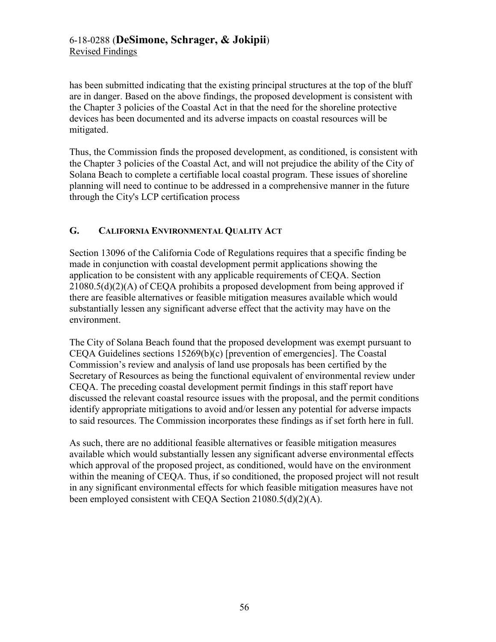# 6-18-0288 (**DeSimone, Schrager, & Jokipii**) Revised Findings

has been submitted indicating that the existing principal structures at the top of the bluff are in danger. Based on the above findings, the proposed development is consistent with the Chapter 3 policies of the Coastal Act in that the need for the shoreline protective devices has been documented and its adverse impacts on coastal resources will be mitigated.

Thus, the Commission finds the proposed development, as conditioned, is consistent with the Chapter 3 policies of the Coastal Act, and will not prejudice the ability of the City of Solana Beach to complete a certifiable local coastal program. These issues of shoreline planning will need to continue to be addressed in a comprehensive manner in the future through the City's LCP certification process

# <span id="page-55-0"></span>**G. CALIFORNIA ENVIRONMENTAL QUALITY ACT**

Section 13096 of the California Code of Regulations requires that a specific finding be made in conjunction with coastal development permit applications showing the application to be consistent with any applicable requirements of CEQA. Section 21080.5(d)(2)(A) of CEQA prohibits a proposed development from being approved if there are feasible alternatives or feasible mitigation measures available which would substantially lessen any significant adverse effect that the activity may have on the environment.

The City of Solana Beach found that the proposed development was exempt pursuant to CEQA Guidelines sections 15269(b)(c) [prevention of emergencies]. The Coastal Commission's review and analysis of land use proposals has been certified by the Secretary of Resources as being the functional equivalent of environmental review under CEQA. The preceding coastal development permit findings in this staff report have discussed the relevant coastal resource issues with the proposal, and the permit conditions identify appropriate mitigations to avoid and/or lessen any potential for adverse impacts to said resources. The Commission incorporates these findings as if set forth here in full.

As such, there are no additional feasible alternatives or feasible mitigation measures available which would substantially lessen any significant adverse environmental effects which approval of the proposed project, as conditioned, would have on the environment within the meaning of CEQA. Thus, if so conditioned, the proposed project will not result in any significant environmental effects for which feasible mitigation measures have not been employed consistent with CEQA Section 21080.5(d)(2)(A).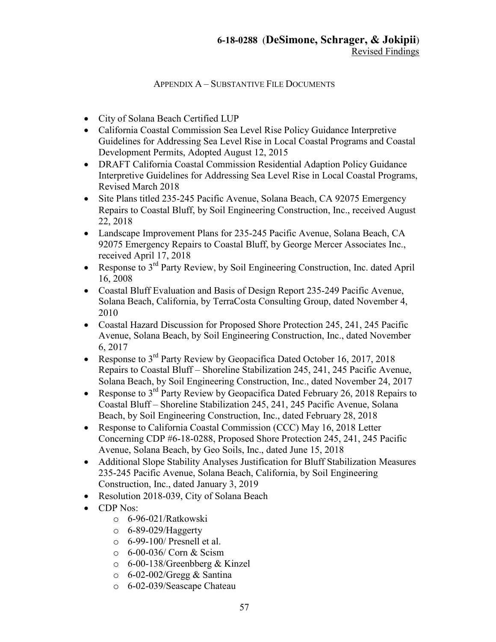# APPENDIX A – SUBSTANTIVE FILE DOCUMENTS

- <span id="page-56-0"></span>City of Solana Beach Certified LUP
- California Coastal Commission Sea Level Rise Policy Guidance Interpretive Guidelines for Addressing Sea Level Rise in Local Coastal Programs and Coastal Development Permits, Adopted August 12, 2015
- DRAFT California Coastal Commission Residential Adaption Policy Guidance Interpretive Guidelines for Addressing Sea Level Rise in Local Coastal Programs, Revised March 2018
- Site Plans titled 235-245 Pacific Avenue, Solana Beach, CA 92075 Emergency Repairs to Coastal Bluff, by Soil Engineering Construction, Inc., received August 22, 2018
- Landscape Improvement Plans for 235-245 Pacific Avenue, Solana Beach, CA 92075 Emergency Repairs to Coastal Bluff, by George Mercer Associates Inc., received April 17, 2018
- Response to  $3<sup>rd</sup>$  Party Review, by Soil Engineering Construction, Inc. dated April 16, 2008
- Coastal Bluff Evaluation and Basis of Design Report 235-249 Pacific Avenue, Solana Beach, California, by TerraCosta Consulting Group, dated November 4, 2010
- Coastal Hazard Discussion for Proposed Shore Protection 245, 241, 245 Pacific Avenue, Solana Beach, by Soil Engineering Construction, Inc., dated November 6, 2017
- Response to  $3<sup>rd</sup>$  Party Review by Geopacifica Dated October 16, 2017, 2018 Repairs to Coastal Bluff – Shoreline Stabilization 245, 241, 245 Pacific Avenue, Solana Beach, by Soil Engineering Construction, Inc., dated November 24, 2017
- Response to  $3^{rd}$  Party Review by Geopacifica Dated February 26, 2018 Repairs to Coastal Bluff – Shoreline Stabilization 245, 241, 245 Pacific Avenue, Solana Beach, by Soil Engineering Construction, Inc., dated February 28, 2018
- Response to California Coastal Commission (CCC) May 16, 2018 Letter Concerning CDP #6-18-0288, Proposed Shore Protection 245, 241, 245 Pacific Avenue, Solana Beach, by Geo Soils, Inc., dated June 15, 2018
- Additional Slope Stability Analyses Justification for Bluff Stabilization Measures 235-245 Pacific Avenue, Solana Beach, California, by Soil Engineering Construction, Inc., dated January 3, 2019
- Resolution 2018-039, City of Solana Beach
- CDP Nos:
	- o 6-96-021/Ratkowski
	- $\circ$  6-89-029/Haggerty
	- o 6-99-100/ Presnell et al.
	- o 6-00-036/ Corn & Scism
	- o 6-00-138/Greenbberg & Kinzel
	- o 6-02-002/Gregg & Santina
	- o 6-02-039/Seascape Chateau